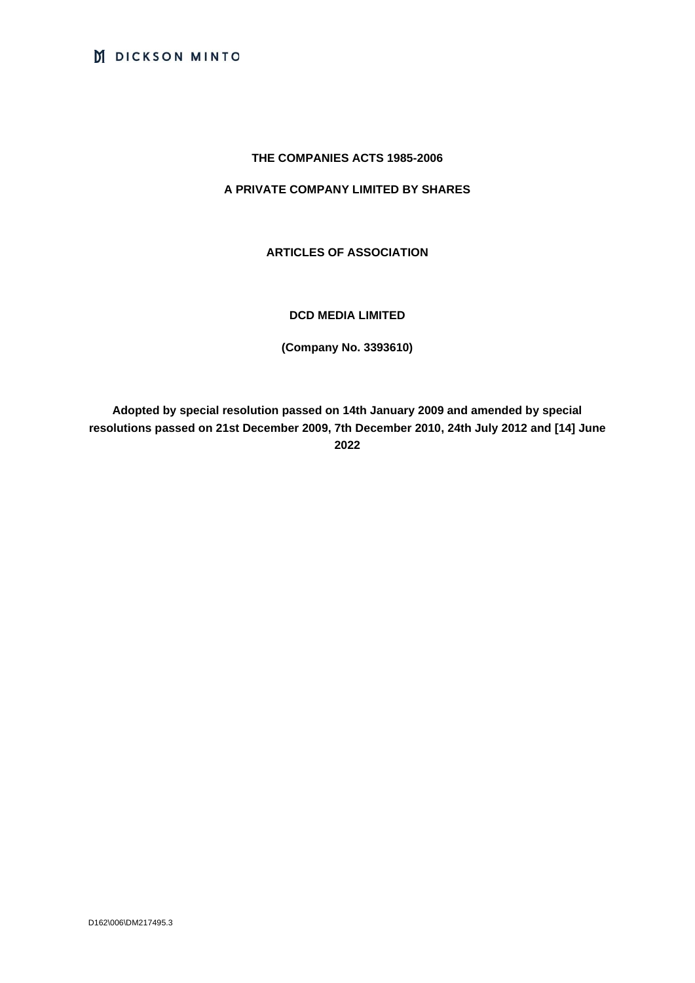# **THE COMPANIES ACTS 1985-2006**

# **A PRIVATE COMPANY LIMITED BY SHARES**

# **ARTICLES OF ASSOCIATION**

# **DCD MEDIA LIMITED**

**(Company No. 3393610)**

**Adopted by special resolution passed on 14th January 2009 and amended by special resolutions passed on 21st December 2009, 7th December 2010, 24th July 2012 and [14] June 2022**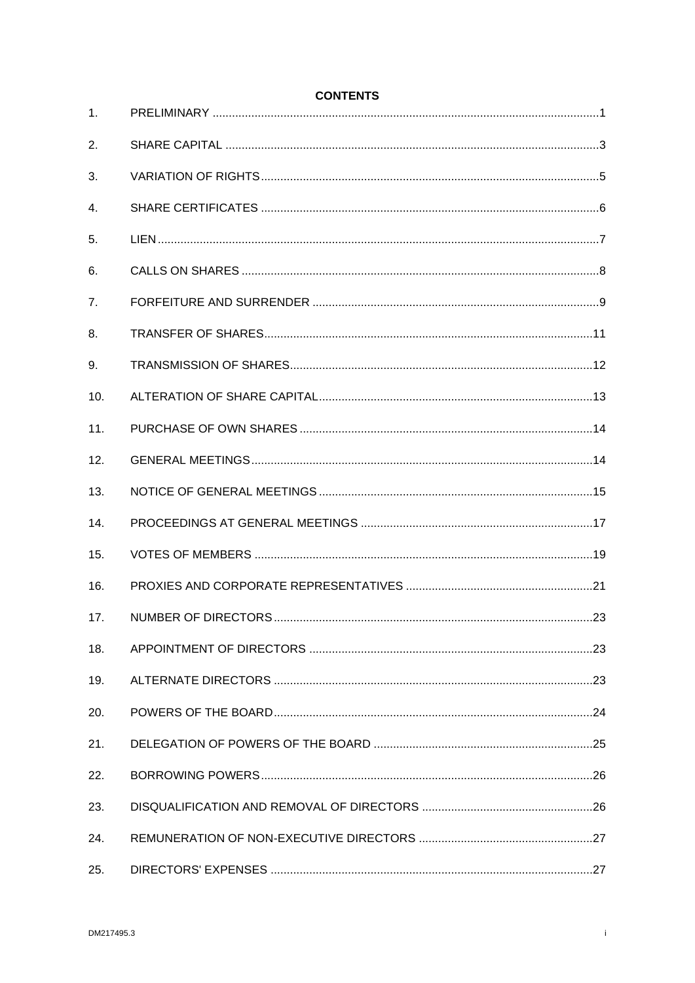| 1.             |  |
|----------------|--|
| 2.             |  |
| 3.             |  |
| $\mathbf{4}$ . |  |
| 5.             |  |
| 6.             |  |
| 7.             |  |
| 8.             |  |
| 9.             |  |
| 10.            |  |
| 11.            |  |
| 12.            |  |
| 13.            |  |
| 14.            |  |
| 15.            |  |
| 16.            |  |
| 17.            |  |
| 18.            |  |
| 19.            |  |
| 20.            |  |
| 21.            |  |
| 22.            |  |
| 23.            |  |
| 24.            |  |
| 25.            |  |

**CONTENTS**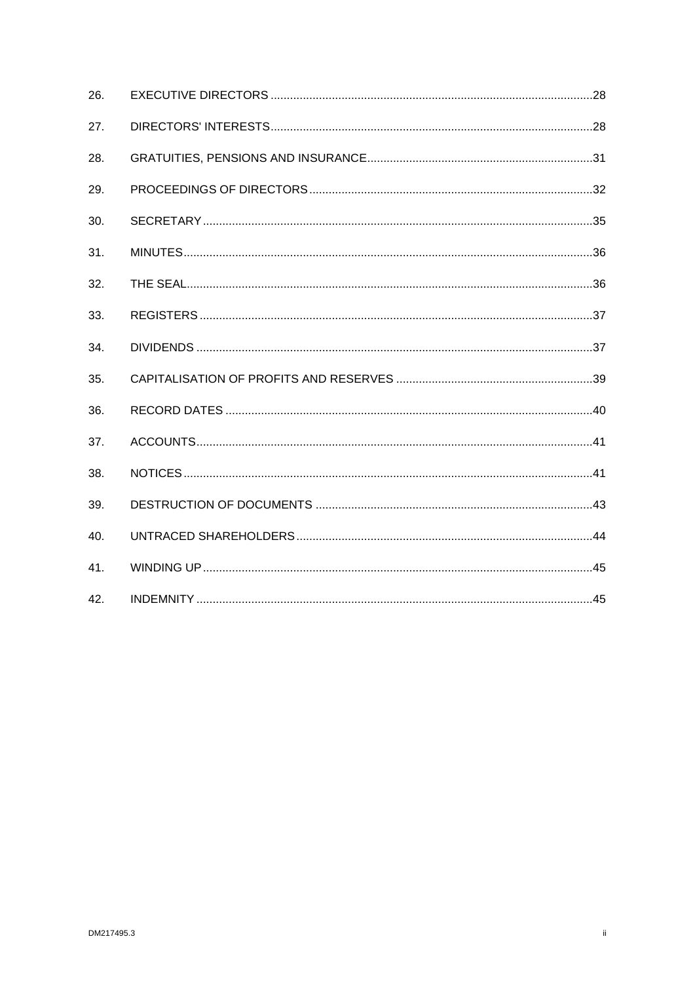| 26. |  |
|-----|--|
| 27. |  |
| 28. |  |
| 29. |  |
| 30. |  |
| 31. |  |
| 32. |  |
| 33. |  |
| 34. |  |
| 35. |  |
| 36. |  |
| 37. |  |
| 38. |  |
| 39. |  |
| 40. |  |
| 41. |  |
| 42. |  |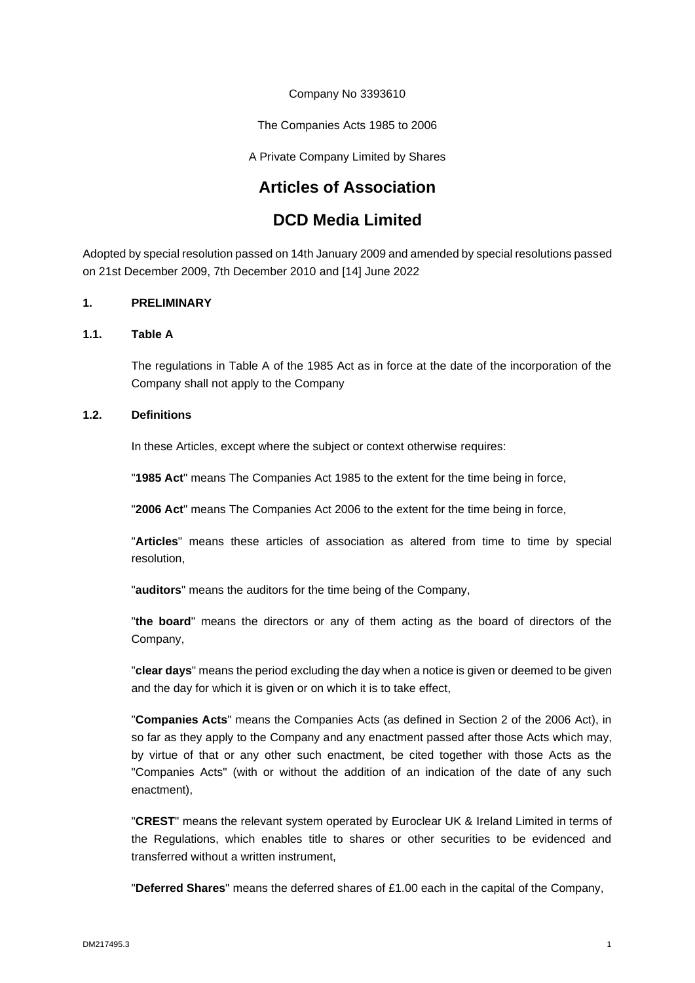Company No 3393610

The Companies Acts 1985 to 2006

A Private Company Limited by Shares

# **Articles of Association**

# **DCD Media Limited**

Adopted by special resolution passed on 14th January 2009 and amended by special resolutions passed on 21st December 2009, 7th December 2010 and [14] June 2022

# <span id="page-3-0"></span>**1. PRELIMINARY**

# **1.1. Table A**

The regulations in Table A of the 1985 Act as in force at the date of the incorporation of the Company shall not apply to the Company

# **1.2. Definitions**

In these Articles, except where the subject or context otherwise requires:

"**1985 Act**" means The Companies Act 1985 to the extent for the time being in force,

"**2006 Act**" means The Companies Act 2006 to the extent for the time being in force,

"**Articles**" means these articles of association as altered from time to time by special resolution,

"**auditors**" means the auditors for the time being of the Company,

"**the board**" means the directors or any of them acting as the board of directors of the Company,

"**clear days**" means the period excluding the day when a notice is given or deemed to be given and the day for which it is given or on which it is to take effect,

"**Companies Acts**" means the Companies Acts (as defined in Section 2 of the 2006 Act), in so far as they apply to the Company and any enactment passed after those Acts which may, by virtue of that or any other such enactment, be cited together with those Acts as the "Companies Acts" (with or without the addition of an indication of the date of any such enactment),

"**CREST**" means the relevant system operated by Euroclear UK & Ireland Limited in terms of the Regulations, which enables title to shares or other securities to be evidenced and transferred without a written instrument,

"**Deferred Shares**" means the deferred shares of £1.00 each in the capital of the Company,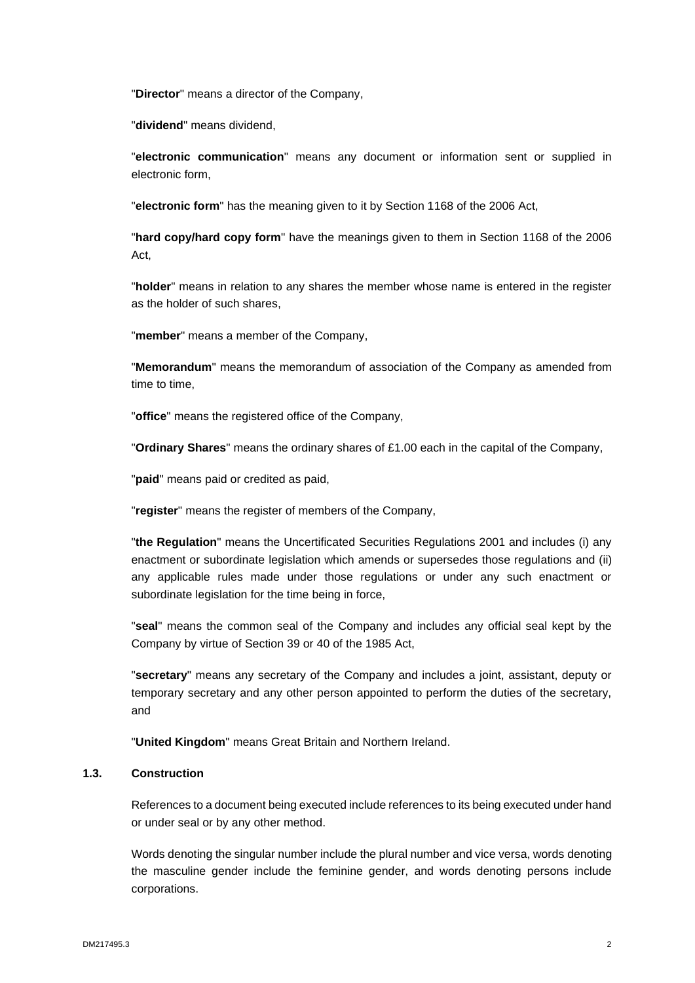"**Director**" means a director of the Company,

"**dividend**" means dividend,

"**electronic communication**" means any document or information sent or supplied in electronic form,

"**electronic form**" has the meaning given to it by Section 1168 of the 2006 Act,

"**hard copy/hard copy form**" have the meanings given to them in Section 1168 of the 2006 Act,

"**holder**" means in relation to any shares the member whose name is entered in the register as the holder of such shares,

"**member**" means a member of the Company,

"**Memorandum**" means the memorandum of association of the Company as amended from time to time,

"**office**" means the registered office of the Company,

"**Ordinary Shares**" means the ordinary shares of £1.00 each in the capital of the Company,

"**paid**" means paid or credited as paid,

"**register**" means the register of members of the Company,

"**the Regulation**" means the Uncertificated Securities Regulations 2001 and includes (i) any enactment or subordinate legislation which amends or supersedes those regulations and (ii) any applicable rules made under those regulations or under any such enactment or subordinate legislation for the time being in force,

"**seal**" means the common seal of the Company and includes any official seal kept by the Company by virtue of Section 39 or 40 of the 1985 Act,

"**secretary**" means any secretary of the Company and includes a joint, assistant, deputy or temporary secretary and any other person appointed to perform the duties of the secretary, and

"**United Kingdom**" means Great Britain and Northern Ireland.

# **1.3. Construction**

References to a document being executed include references to its being executed under hand or under seal or by any other method.

Words denoting the singular number include the plural number and vice versa, words denoting the masculine gender include the feminine gender, and words denoting persons include corporations.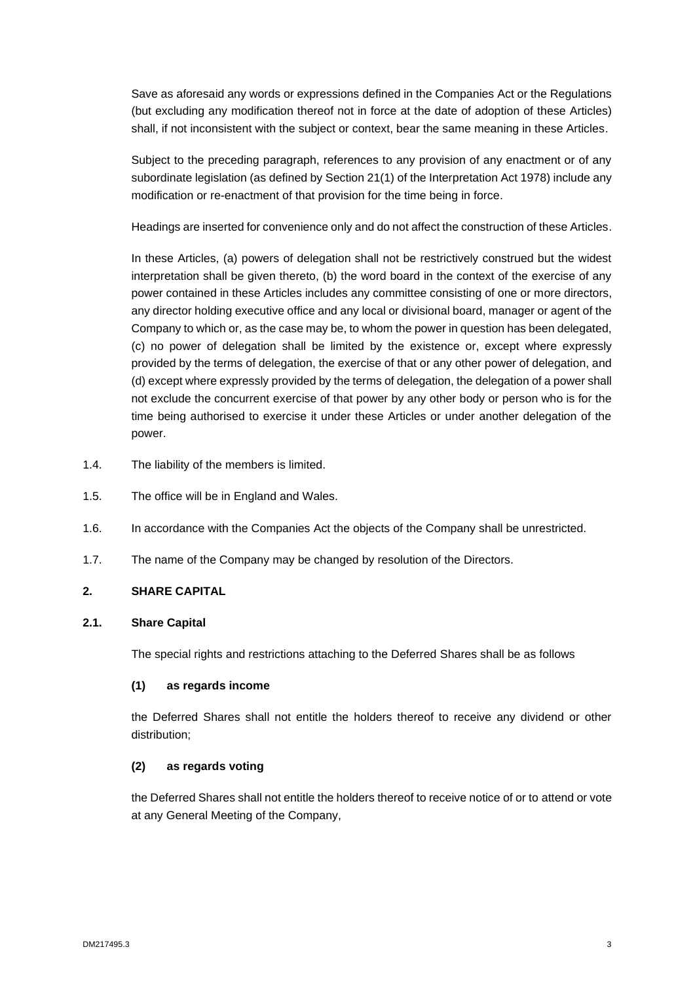Save as aforesaid any words or expressions defined in the Companies Act or the Regulations (but excluding any modification thereof not in force at the date of adoption of these Articles) shall, if not inconsistent with the subject or context, bear the same meaning in these Articles.

Subject to the preceding paragraph, references to any provision of any enactment or of any subordinate legislation (as defined by Section 21(1) of the Interpretation Act 1978) include any modification or re-enactment of that provision for the time being in force.

Headings are inserted for convenience only and do not affect the construction of these Articles.

In these Articles, (a) powers of delegation shall not be restrictively construed but the widest interpretation shall be given thereto, (b) the word board in the context of the exercise of any power contained in these Articles includes any committee consisting of one or more directors, any director holding executive office and any local or divisional board, manager or agent of the Company to which or, as the case may be, to whom the power in question has been delegated, (c) no power of delegation shall be limited by the existence or, except where expressly provided by the terms of delegation, the exercise of that or any other power of delegation, and (d) except where expressly provided by the terms of delegation, the delegation of a power shall not exclude the concurrent exercise of that power by any other body or person who is for the time being authorised to exercise it under these Articles or under another delegation of the power.

- 1.4. The liability of the members is limited.
- 1.5. The office will be in England and Wales.
- 1.6. In accordance with the Companies Act the objects of the Company shall be unrestricted.
- 1.7. The name of the Company may be changed by resolution of the Directors.

# <span id="page-5-0"></span>**2. SHARE CAPITAL**

# **2.1. Share Capital**

The special rights and restrictions attaching to the Deferred Shares shall be as follows

#### **(1) as regards income**

the Deferred Shares shall not entitle the holders thereof to receive any dividend or other distribution;

#### **(2) as regards voting**

the Deferred Shares shall not entitle the holders thereof to receive notice of or to attend or vote at any General Meeting of the Company,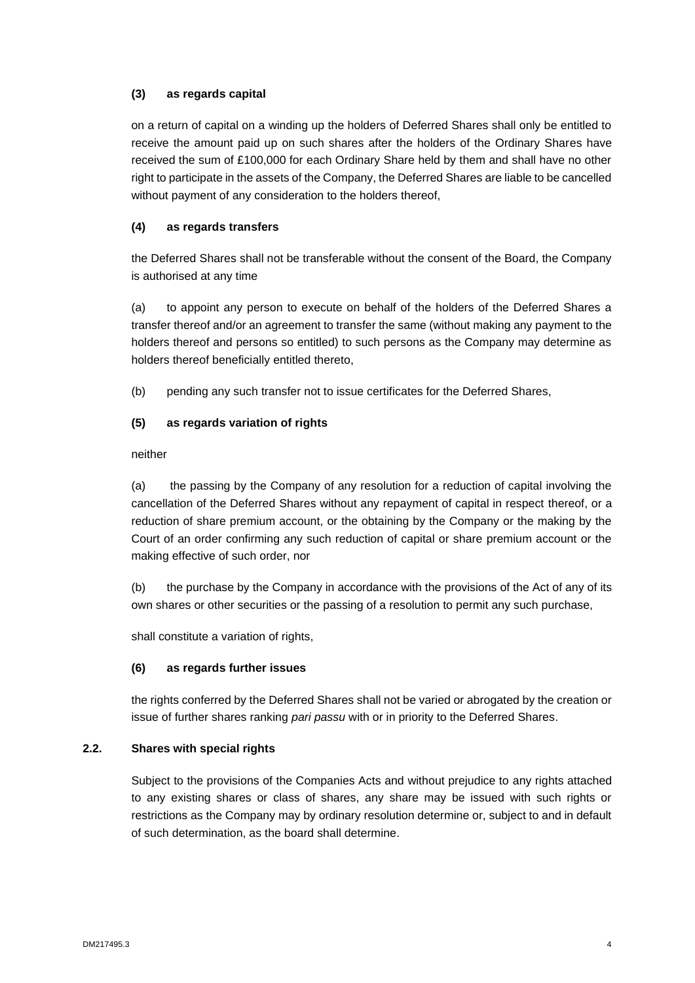# **(3) as regards capital**

on a return of capital on a winding up the holders of Deferred Shares shall only be entitled to receive the amount paid up on such shares after the holders of the Ordinary Shares have received the sum of £100,000 for each Ordinary Share held by them and shall have no other right to participate in the assets of the Company, the Deferred Shares are liable to be cancelled without payment of any consideration to the holders thereof,

# **(4) as regards transfers**

the Deferred Shares shall not be transferable without the consent of the Board, the Company is authorised at any time

(a) to appoint any person to execute on behalf of the holders of the Deferred Shares a transfer thereof and/or an agreement to transfer the same (without making any payment to the holders thereof and persons so entitled) to such persons as the Company may determine as holders thereof beneficially entitled thereto,

(b) pending any such transfer not to issue certificates for the Deferred Shares,

# **(5) as regards variation of rights**

neither

(a) the passing by the Company of any resolution for a reduction of capital involving the cancellation of the Deferred Shares without any repayment of capital in respect thereof, or a reduction of share premium account, or the obtaining by the Company or the making by the Court of an order confirming any such reduction of capital or share premium account or the making effective of such order, nor

(b) the purchase by the Company in accordance with the provisions of the Act of any of its own shares or other securities or the passing of a resolution to permit any such purchase,

shall constitute a variation of rights,

# **(6) as regards further issues**

the rights conferred by the Deferred Shares shall not be varied or abrogated by the creation or issue of further shares ranking *pari passu* with or in priority to the Deferred Shares.

# **2.2. Shares with special rights**

Subject to the provisions of the Companies Acts and without prejudice to any rights attached to any existing shares or class of shares, any share may be issued with such rights or restrictions as the Company may by ordinary resolution determine or, subject to and in default of such determination, as the board shall determine.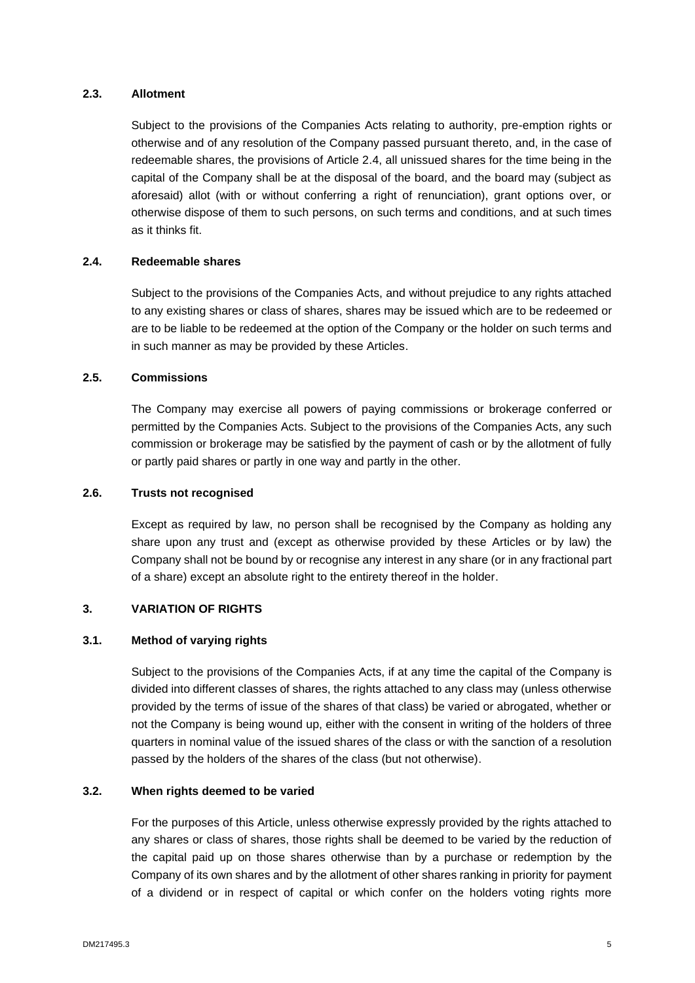# **2.3. Allotment**

Subject to the provisions of the Companies Acts relating to authority, pre-emption rights or otherwise and of any resolution of the Company passed pursuant thereto, and, in the case of redeemable shares, the provisions of Article 2.4, all unissued shares for the time being in the capital of the Company shall be at the disposal of the board, and the board may (subject as aforesaid) allot (with or without conferring a right of renunciation), grant options over, or otherwise dispose of them to such persons, on such terms and conditions, and at such times as it thinks fit.

#### **2.4. Redeemable shares**

Subject to the provisions of the Companies Acts, and without prejudice to any rights attached to any existing shares or class of shares, shares may be issued which are to be redeemed or are to be liable to be redeemed at the option of the Company or the holder on such terms and in such manner as may be provided by these Articles.

#### **2.5. Commissions**

The Company may exercise all powers of paying commissions or brokerage conferred or permitted by the Companies Acts. Subject to the provisions of the Companies Acts, any such commission or brokerage may be satisfied by the payment of cash or by the allotment of fully or partly paid shares or partly in one way and partly in the other.

# **2.6. Trusts not recognised**

Except as required by law, no person shall be recognised by the Company as holding any share upon any trust and (except as otherwise provided by these Articles or by law) the Company shall not be bound by or recognise any interest in any share (or in any fractional part of a share) except an absolute right to the entirety thereof in the holder.

# <span id="page-7-0"></span>**3. VARIATION OF RIGHTS**

#### **3.1. Method of varying rights**

Subject to the provisions of the Companies Acts, if at any time the capital of the Company is divided into different classes of shares, the rights attached to any class may (unless otherwise provided by the terms of issue of the shares of that class) be varied or abrogated, whether or not the Company is being wound up, either with the consent in writing of the holders of three quarters in nominal value of the issued shares of the class or with the sanction of a resolution passed by the holders of the shares of the class (but not otherwise).

# **3.2. When rights deemed to be varied**

For the purposes of this Article, unless otherwise expressly provided by the rights attached to any shares or class of shares, those rights shall be deemed to be varied by the reduction of the capital paid up on those shares otherwise than by a purchase or redemption by the Company of its own shares and by the allotment of other shares ranking in priority for payment of a dividend or in respect of capital or which confer on the holders voting rights more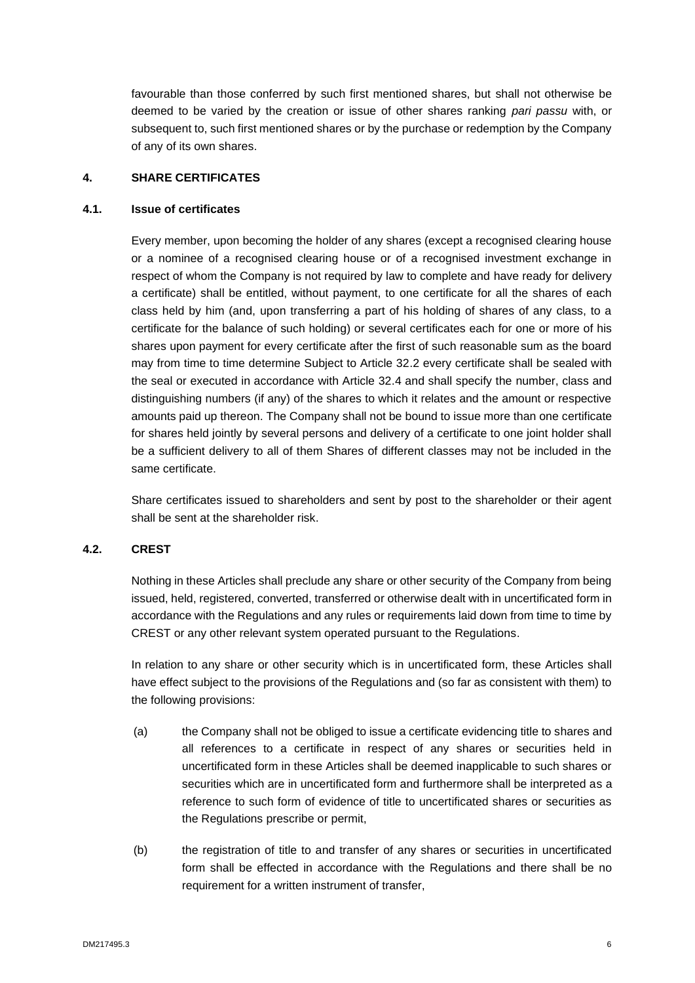favourable than those conferred by such first mentioned shares, but shall not otherwise be deemed to be varied by the creation or issue of other shares ranking *pari passu* with, or subsequent to, such first mentioned shares or by the purchase or redemption by the Company of any of its own shares.

# <span id="page-8-0"></span>**4. SHARE CERTIFICATES**

#### **4.1. Issue of certificates**

Every member, upon becoming the holder of any shares (except a recognised clearing house or a nominee of a recognised clearing house or of a recognised investment exchange in respect of whom the Company is not required by law to complete and have ready for delivery a certificate) shall be entitled, without payment, to one certificate for all the shares of each class held by him (and, upon transferring a part of his holding of shares of any class, to a certificate for the balance of such holding) or several certificates each for one or more of his shares upon payment for every certificate after the first of such reasonable sum as the board may from time to time determine Subject to Article 32.2 every certificate shall be sealed with the seal or executed in accordance with Article 32.4 and shall specify the number, class and distinguishing numbers (if any) of the shares to which it relates and the amount or respective amounts paid up thereon. The Company shall not be bound to issue more than one certificate for shares held jointly by several persons and delivery of a certificate to one joint holder shall be a sufficient delivery to all of them Shares of different classes may not be included in the same certificate.

Share certificates issued to shareholders and sent by post to the shareholder or their agent shall be sent at the shareholder risk.

#### **4.2. CREST**

Nothing in these Articles shall preclude any share or other security of the Company from being issued, held, registered, converted, transferred or otherwise dealt with in uncertificated form in accordance with the Regulations and any rules or requirements laid down from time to time by CREST or any other relevant system operated pursuant to the Regulations.

In relation to any share or other security which is in uncertificated form, these Articles shall have effect subject to the provisions of the Regulations and (so far as consistent with them) to the following provisions:

- (a) the Company shall not be obliged to issue a certificate evidencing title to shares and all references to a certificate in respect of any shares or securities held in uncertificated form in these Articles shall be deemed inapplicable to such shares or securities which are in uncertificated form and furthermore shall be interpreted as a reference to such form of evidence of title to uncertificated shares or securities as the Regulations prescribe or permit,
- (b) the registration of title to and transfer of any shares or securities in uncertificated form shall be effected in accordance with the Regulations and there shall be no requirement for a written instrument of transfer,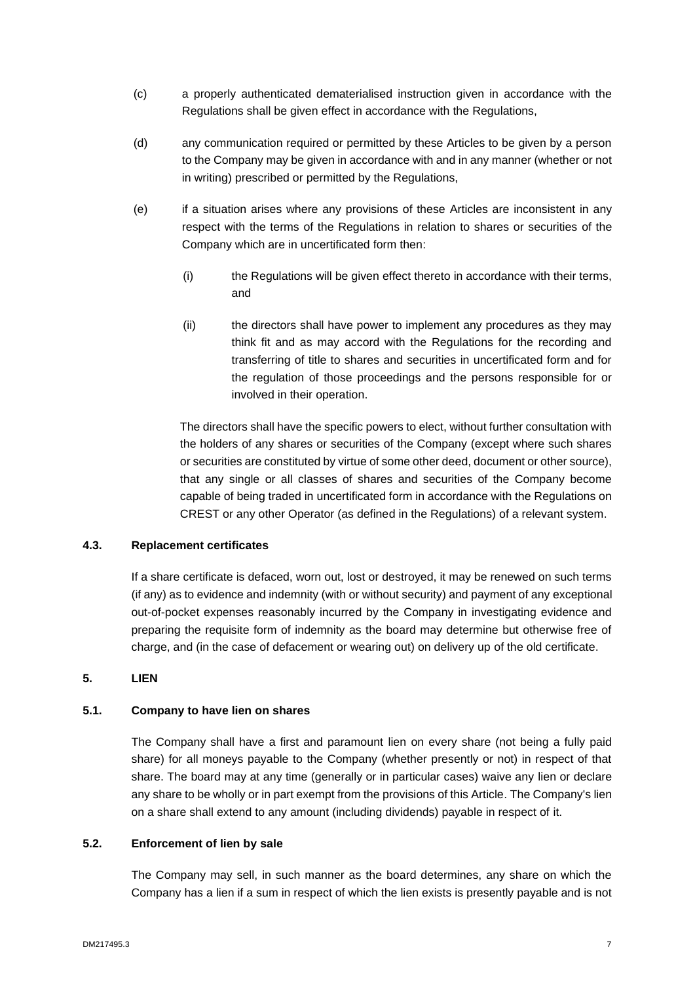- (c) a properly authenticated dematerialised instruction given in accordance with the Regulations shall be given effect in accordance with the Regulations,
- (d) any communication required or permitted by these Articles to be given by a person to the Company may be given in accordance with and in any manner (whether or not in writing) prescribed or permitted by the Regulations,
- (e) if a situation arises where any provisions of these Articles are inconsistent in any respect with the terms of the Regulations in relation to shares or securities of the Company which are in uncertificated form then:
	- (i) the Regulations will be given effect thereto in accordance with their terms, and
	- (ii) the directors shall have power to implement any procedures as they may think fit and as may accord with the Regulations for the recording and transferring of title to shares and securities in uncertificated form and for the regulation of those proceedings and the persons responsible for or involved in their operation.

The directors shall have the specific powers to elect, without further consultation with the holders of any shares or securities of the Company (except where such shares or securities are constituted by virtue of some other deed, document or other source), that any single or all classes of shares and securities of the Company become capable of being traded in uncertificated form in accordance with the Regulations on CREST or any other Operator (as defined in the Regulations) of a relevant system.

# **4.3. Replacement certificates**

If a share certificate is defaced, worn out, lost or destroyed, it may be renewed on such terms (if any) as to evidence and indemnity (with or without security) and payment of any exceptional out-of-pocket expenses reasonably incurred by the Company in investigating evidence and preparing the requisite form of indemnity as the board may determine but otherwise free of charge, and (in the case of defacement or wearing out) on delivery up of the old certificate.

# <span id="page-9-0"></span>**5. LIEN**

# **5.1. Company to have lien on shares**

The Company shall have a first and paramount lien on every share (not being a fully paid share) for all moneys payable to the Company (whether presently or not) in respect of that share. The board may at any time (generally or in particular cases) waive any lien or declare any share to be wholly or in part exempt from the provisions of this Article. The Company's lien on a share shall extend to any amount (including dividends) payable in respect of it.

#### **5.2. Enforcement of lien by sale**

The Company may sell, in such manner as the board determines, any share on which the Company has a lien if a sum in respect of which the lien exists is presently payable and is not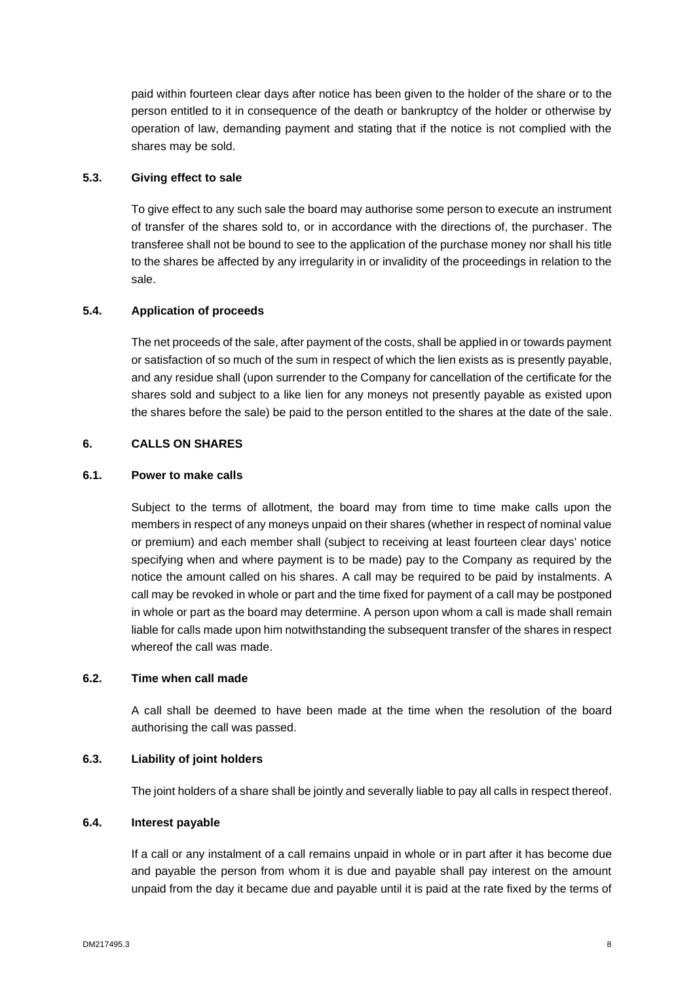paid within fourteen clear days after notice has been given to the holder of the share or to the person entitled to it in consequence of the death or bankruptcy of the holder or otherwise by operation of law, demanding payment and stating that if the notice is not complied with the shares may be sold.

# **5.3. Giving effect to sale**

To give effect to any such sale the board may authorise some person to execute an instrument of transfer of the shares sold to, or in accordance with the directions of, the purchaser. The transferee shall not be bound to see to the application of the purchase money nor shall his title to the shares be affected by any irregularity in or invalidity of the proceedings in relation to the sale.

#### **5.4. Application of proceeds**

The net proceeds of the sale, after payment of the costs, shall be applied in or towards payment or satisfaction of so much of the sum in respect of which the lien exists as is presently payable, and any residue shall (upon surrender to the Company for cancellation of the certificate for the shares sold and subject to a like lien for any moneys not presently payable as existed upon the shares before the sale) be paid to the person entitled to the shares at the date of the sale.

# <span id="page-10-0"></span>**6. CALLS ON SHARES**

#### **6.1. Power to make calls**

Subject to the terms of allotment, the board may from time to time make calls upon the members in respect of any moneys unpaid on their shares (whether in respect of nominal value or premium) and each member shall (subject to receiving at least fourteen clear days' notice specifying when and where payment is to be made) pay to the Company as required by the notice the amount called on his shares. A call may be required to be paid by instalments. A call may be revoked in whole or part and the time fixed for payment of a call may be postponed in whole or part as the board may determine. A person upon whom a call is made shall remain liable for calls made upon him notwithstanding the subsequent transfer of the shares in respect whereof the call was made.

#### **6.2. Time when call made**

A call shall be deemed to have been made at the time when the resolution of the board authorising the call was passed.

# **6.3. Liability of joint holders**

The joint holders of a share shall be jointly and severally liable to pay all calls in respect thereof.

## **6.4. Interest payable**

If a call or any instalment of a call remains unpaid in whole or in part after it has become due and payable the person from whom it is due and payable shall pay interest on the amount unpaid from the day it became due and payable until it is paid at the rate fixed by the terms of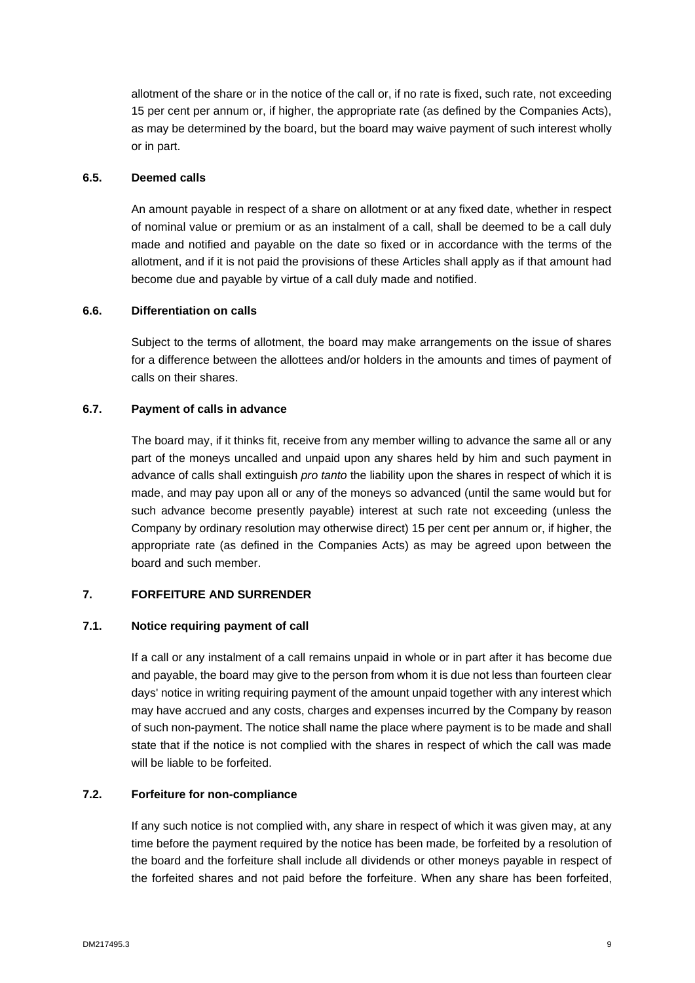allotment of the share or in the notice of the call or, if no rate is fixed, such rate, not exceeding 15 per cent per annum or, if higher, the appropriate rate (as defined by the Companies Acts), as may be determined by the board, but the board may waive payment of such interest wholly or in part.

# **6.5. Deemed calls**

An amount payable in respect of a share on allotment or at any fixed date, whether in respect of nominal value or premium or as an instalment of a call, shall be deemed to be a call duly made and notified and payable on the date so fixed or in accordance with the terms of the allotment, and if it is not paid the provisions of these Articles shall apply as if that amount had become due and payable by virtue of a call duly made and notified.

#### **6.6. Differentiation on calls**

Subject to the terms of allotment, the board may make arrangements on the issue of shares for a difference between the allottees and/or holders in the amounts and times of payment of calls on their shares.

#### **6.7. Payment of calls in advance**

The board may, if it thinks fit, receive from any member willing to advance the same all or any part of the moneys uncalled and unpaid upon any shares held by him and such payment in advance of calls shall extinguish *pro tanto* the liability upon the shares in respect of which it is made, and may pay upon all or any of the moneys so advanced (until the same would but for such advance become presently payable) interest at such rate not exceeding (unless the Company by ordinary resolution may otherwise direct) 15 per cent per annum or, if higher, the appropriate rate (as defined in the Companies Acts) as may be agreed upon between the board and such member.

# <span id="page-11-0"></span>**7. FORFEITURE AND SURRENDER**

#### **7.1. Notice requiring payment of call**

If a call or any instalment of a call remains unpaid in whole or in part after it has become due and payable, the board may give to the person from whom it is due not less than fourteen clear days' notice in writing requiring payment of the amount unpaid together with any interest which may have accrued and any costs, charges and expenses incurred by the Company by reason of such non-payment. The notice shall name the place where payment is to be made and shall state that if the notice is not complied with the shares in respect of which the call was made will be liable to be forfeited.

#### **7.2. Forfeiture for non-compliance**

If any such notice is not complied with, any share in respect of which it was given may, at any time before the payment required by the notice has been made, be forfeited by a resolution of the board and the forfeiture shall include all dividends or other moneys payable in respect of the forfeited shares and not paid before the forfeiture. When any share has been forfeited,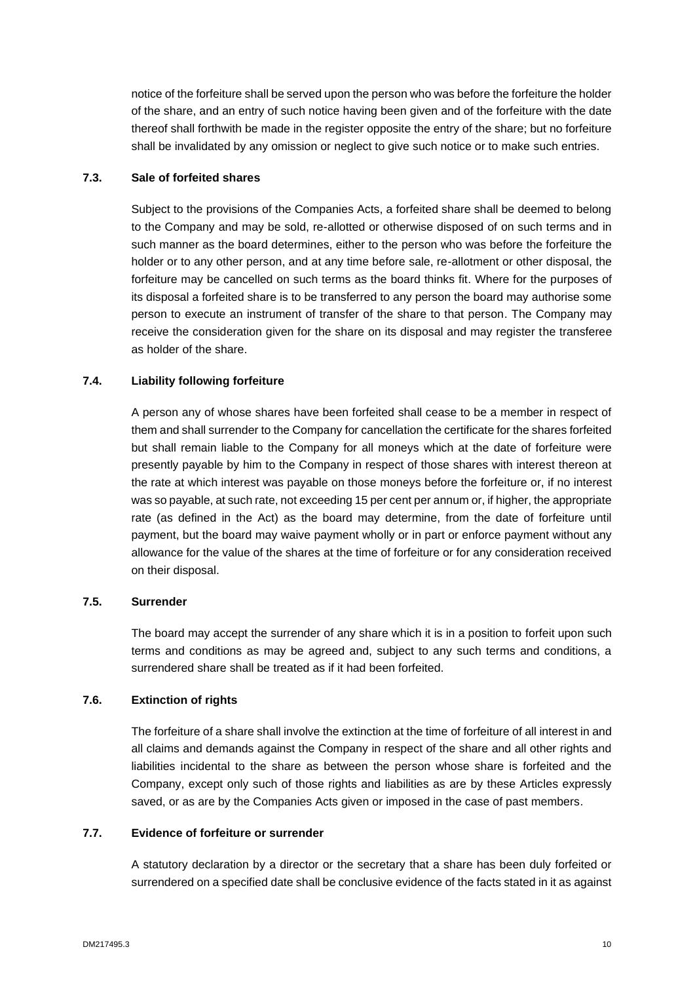notice of the forfeiture shall be served upon the person who was before the forfeiture the holder of the share, and an entry of such notice having been given and of the forfeiture with the date thereof shall forthwith be made in the register opposite the entry of the share; but no forfeiture shall be invalidated by any omission or neglect to give such notice or to make such entries.

# **7.3. Sale of forfeited shares**

Subject to the provisions of the Companies Acts, a forfeited share shall be deemed to belong to the Company and may be sold, re-allotted or otherwise disposed of on such terms and in such manner as the board determines, either to the person who was before the forfeiture the holder or to any other person, and at any time before sale, re-allotment or other disposal, the forfeiture may be cancelled on such terms as the board thinks fit. Where for the purposes of its disposal a forfeited share is to be transferred to any person the board may authorise some person to execute an instrument of transfer of the share to that person. The Company may receive the consideration given for the share on its disposal and may register the transferee as holder of the share.

# **7.4. Liability following forfeiture**

A person any of whose shares have been forfeited shall cease to be a member in respect of them and shall surrender to the Company for cancellation the certificate for the shares forfeited but shall remain liable to the Company for all moneys which at the date of forfeiture were presently payable by him to the Company in respect of those shares with interest thereon at the rate at which interest was payable on those moneys before the forfeiture or, if no interest was so payable, at such rate, not exceeding 15 per cent per annum or, if higher, the appropriate rate (as defined in the Act) as the board may determine, from the date of forfeiture until payment, but the board may waive payment wholly or in part or enforce payment without any allowance for the value of the shares at the time of forfeiture or for any consideration received on their disposal.

#### **7.5. Surrender**

The board may accept the surrender of any share which it is in a position to forfeit upon such terms and conditions as may be agreed and, subject to any such terms and conditions, a surrendered share shall be treated as if it had been forfeited.

# **7.6. Extinction of rights**

The forfeiture of a share shall involve the extinction at the time of forfeiture of all interest in and all claims and demands against the Company in respect of the share and all other rights and liabilities incidental to the share as between the person whose share is forfeited and the Company, except only such of those rights and liabilities as are by these Articles expressly saved, or as are by the Companies Acts given or imposed in the case of past members.

# **7.7. Evidence of forfeiture or surrender**

A statutory declaration by a director or the secretary that a share has been duly forfeited or surrendered on a specified date shall be conclusive evidence of the facts stated in it as against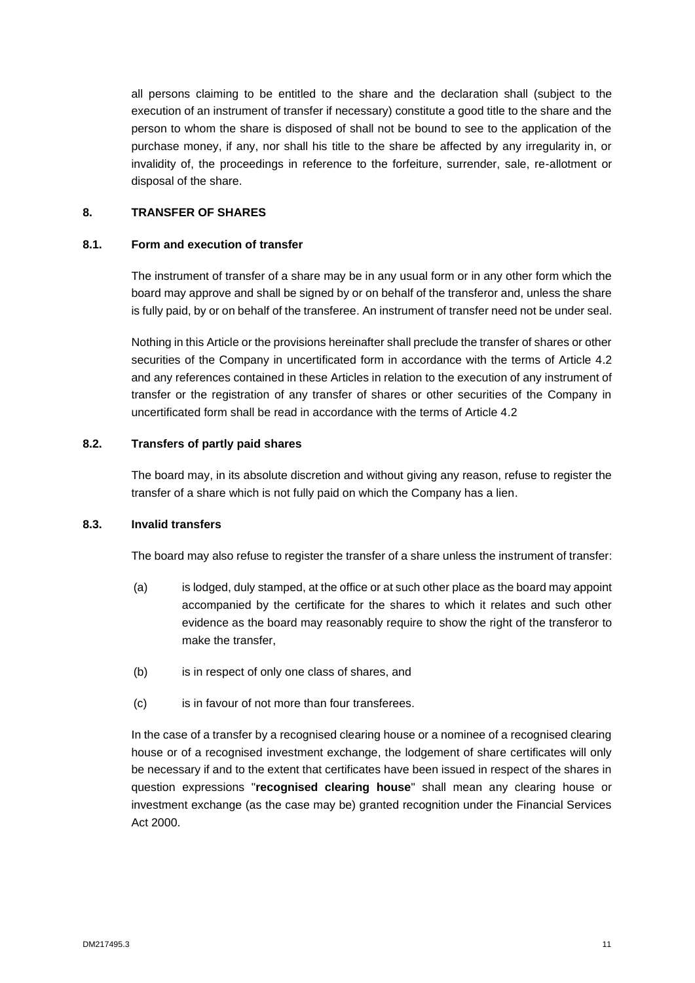all persons claiming to be entitled to the share and the declaration shall (subject to the execution of an instrument of transfer if necessary) constitute a good title to the share and the person to whom the share is disposed of shall not be bound to see to the application of the purchase money, if any, nor shall his title to the share be affected by any irregularity in, or invalidity of, the proceedings in reference to the forfeiture, surrender, sale, re-allotment or disposal of the share.

# <span id="page-13-0"></span>**8. TRANSFER OF SHARES**

#### **8.1. Form and execution of transfer**

The instrument of transfer of a share may be in any usual form or in any other form which the board may approve and shall be signed by or on behalf of the transferor and, unless the share is fully paid, by or on behalf of the transferee. An instrument of transfer need not be under seal.

Nothing in this Article or the provisions hereinafter shall preclude the transfer of shares or other securities of the Company in uncertificated form in accordance with the terms of Article 4.2 and any references contained in these Articles in relation to the execution of any instrument of transfer or the registration of any transfer of shares or other securities of the Company in uncertificated form shall be read in accordance with the terms of Article 4.2

#### **8.2. Transfers of partly paid shares**

The board may, in its absolute discretion and without giving any reason, refuse to register the transfer of a share which is not fully paid on which the Company has a lien.

# **8.3. Invalid transfers**

The board may also refuse to register the transfer of a share unless the instrument of transfer:

- (a) is lodged, duly stamped, at the office or at such other place as the board may appoint accompanied by the certificate for the shares to which it relates and such other evidence as the board may reasonably require to show the right of the transferor to make the transfer,
- (b) is in respect of only one class of shares, and
- (c) is in favour of not more than four transferees.

In the case of a transfer by a recognised clearing house or a nominee of a recognised clearing house or of a recognised investment exchange, the lodgement of share certificates will only be necessary if and to the extent that certificates have been issued in respect of the shares in question expressions "**recognised clearing house**" shall mean any clearing house or investment exchange (as the case may be) granted recognition under the Financial Services Act 2000.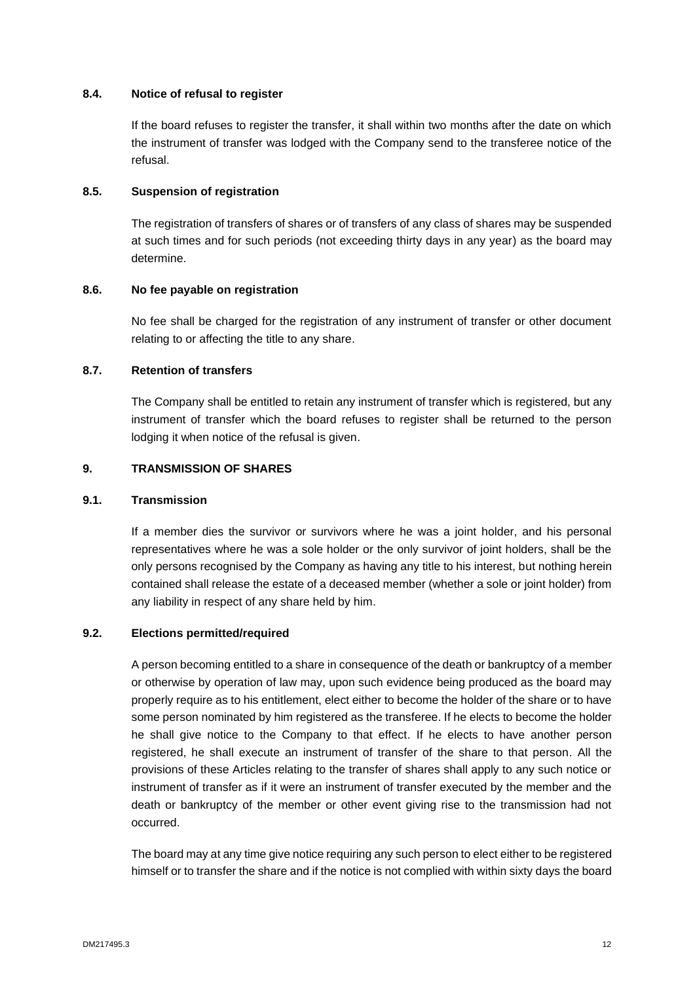# **8.4. Notice of refusal to register**

If the board refuses to register the transfer, it shall within two months after the date on which the instrument of transfer was lodged with the Company send to the transferee notice of the refusal.

# **8.5. Suspension of registration**

The registration of transfers of shares or of transfers of any class of shares may be suspended at such times and for such periods (not exceeding thirty days in any year) as the board may determine.

# **8.6. No fee payable on registration**

No fee shall be charged for the registration of any instrument of transfer or other document relating to or affecting the title to any share.

#### **8.7. Retention of transfers**

The Company shall be entitled to retain any instrument of transfer which is registered, but any instrument of transfer which the board refuses to register shall be returned to the person lodging it when notice of the refusal is given.

#### <span id="page-14-0"></span>**9. TRANSMISSION OF SHARES**

### **9.1. Transmission**

If a member dies the survivor or survivors where he was a joint holder, and his personal representatives where he was a sole holder or the only survivor of joint holders, shall be the only persons recognised by the Company as having any title to his interest, but nothing herein contained shall release the estate of a deceased member (whether a sole or joint holder) from any liability in respect of any share held by him.

#### **9.2. Elections permitted/required**

A person becoming entitled to a share in consequence of the death or bankruptcy of a member or otherwise by operation of law may, upon such evidence being produced as the board may properly require as to his entitlement, elect either to become the holder of the share or to have some person nominated by him registered as the transferee. If he elects to become the holder he shall give notice to the Company to that effect. If he elects to have another person registered, he shall execute an instrument of transfer of the share to that person. All the provisions of these Articles relating to the transfer of shares shall apply to any such notice or instrument of transfer as if it were an instrument of transfer executed by the member and the death or bankruptcy of the member or other event giving rise to the transmission had not occurred.

The board may at any time give notice requiring any such person to elect either to be registered himself or to transfer the share and if the notice is not complied with within sixty days the board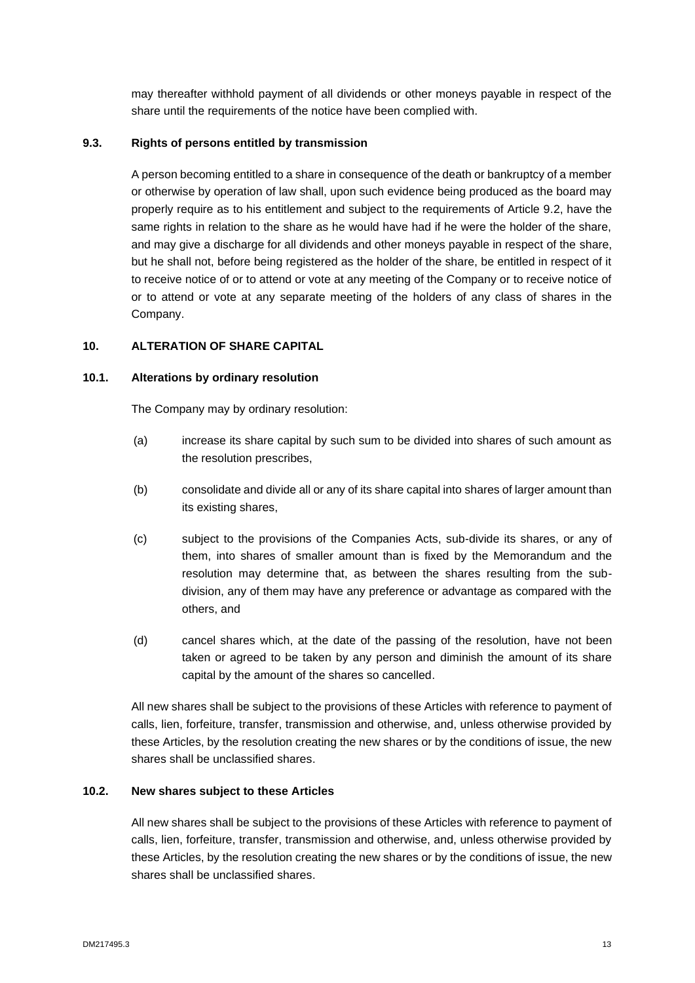may thereafter withhold payment of all dividends or other moneys payable in respect of the share until the requirements of the notice have been complied with.

# **9.3. Rights of persons entitled by transmission**

A person becoming entitled to a share in consequence of the death or bankruptcy of a member or otherwise by operation of law shall, upon such evidence being produced as the board may properly require as to his entitlement and subject to the requirements of Article 9.2, have the same rights in relation to the share as he would have had if he were the holder of the share, and may give a discharge for all dividends and other moneys payable in respect of the share, but he shall not, before being registered as the holder of the share, be entitled in respect of it to receive notice of or to attend or vote at any meeting of the Company or to receive notice of or to attend or vote at any separate meeting of the holders of any class of shares in the Company.

# <span id="page-15-0"></span>**10. ALTERATION OF SHARE CAPITAL**

# **10.1. Alterations by ordinary resolution**

The Company may by ordinary resolution:

- (a) increase its share capital by such sum to be divided into shares of such amount as the resolution prescribes,
- (b) consolidate and divide all or any of its share capital into shares of larger amount than its existing shares,
- (c) subject to the provisions of the Companies Acts, sub-divide its shares, or any of them, into shares of smaller amount than is fixed by the Memorandum and the resolution may determine that, as between the shares resulting from the subdivision, any of them may have any preference or advantage as compared with the others, and
- (d) cancel shares which, at the date of the passing of the resolution, have not been taken or agreed to be taken by any person and diminish the amount of its share capital by the amount of the shares so cancelled.

All new shares shall be subject to the provisions of these Articles with reference to payment of calls, lien, forfeiture, transfer, transmission and otherwise, and, unless otherwise provided by these Articles, by the resolution creating the new shares or by the conditions of issue, the new shares shall be unclassified shares.

# **10.2. New shares subject to these Articles**

All new shares shall be subject to the provisions of these Articles with reference to payment of calls, lien, forfeiture, transfer, transmission and otherwise, and, unless otherwise provided by these Articles, by the resolution creating the new shares or by the conditions of issue, the new shares shall be unclassified shares.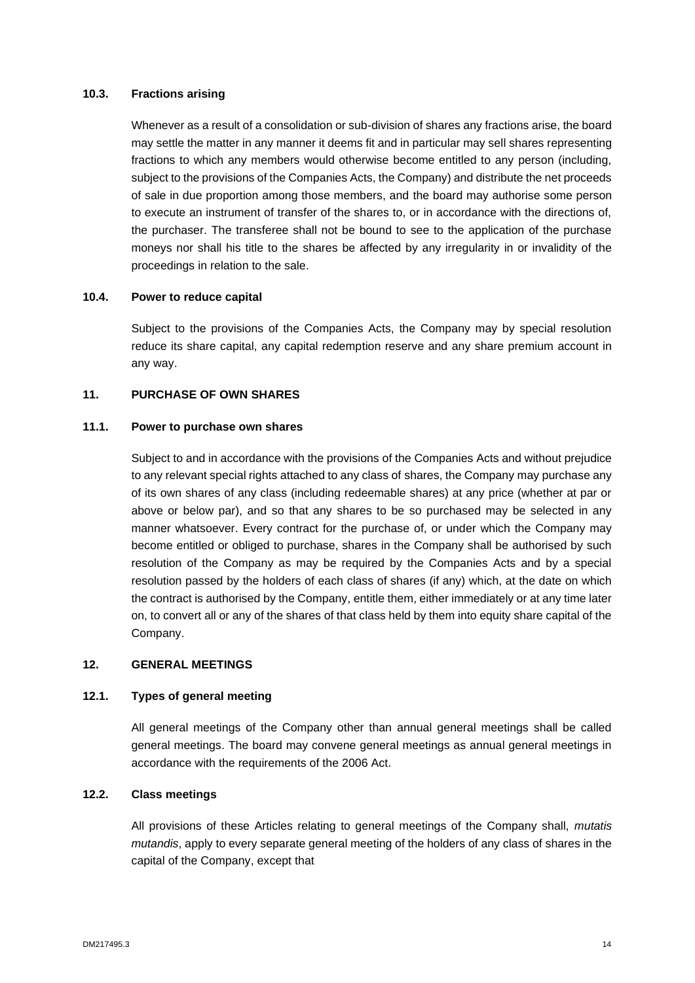# **10.3. Fractions arising**

Whenever as a result of a consolidation or sub-division of shares any fractions arise, the board may settle the matter in any manner it deems fit and in particular may sell shares representing fractions to which any members would otherwise become entitled to any person (including, subject to the provisions of the Companies Acts, the Company) and distribute the net proceeds of sale in due proportion among those members, and the board may authorise some person to execute an instrument of transfer of the shares to, or in accordance with the directions of, the purchaser. The transferee shall not be bound to see to the application of the purchase moneys nor shall his title to the shares be affected by any irregularity in or invalidity of the proceedings in relation to the sale.

#### **10.4. Power to reduce capital**

Subject to the provisions of the Companies Acts, the Company may by special resolution reduce its share capital, any capital redemption reserve and any share premium account in any way.

### <span id="page-16-0"></span>**11. PURCHASE OF OWN SHARES**

#### **11.1. Power to purchase own shares**

Subject to and in accordance with the provisions of the Companies Acts and without prejudice to any relevant special rights attached to any class of shares, the Company may purchase any of its own shares of any class (including redeemable shares) at any price (whether at par or above or below par), and so that any shares to be so purchased may be selected in any manner whatsoever. Every contract for the purchase of, or under which the Company may become entitled or obliged to purchase, shares in the Company shall be authorised by such resolution of the Company as may be required by the Companies Acts and by a special resolution passed by the holders of each class of shares (if any) which, at the date on which the contract is authorised by the Company, entitle them, either immediately or at any time later on, to convert all or any of the shares of that class held by them into equity share capital of the Company.

# <span id="page-16-1"></span>**12. GENERAL MEETINGS**

# **12.1. Types of general meeting**

All general meetings of the Company other than annual general meetings shall be called general meetings. The board may convene general meetings as annual general meetings in accordance with the requirements of the 2006 Act.

# **12.2. Class meetings**

All provisions of these Articles relating to general meetings of the Company shall, *mutatis mutandis*, apply to every separate general meeting of the holders of any class of shares in the capital of the Company, except that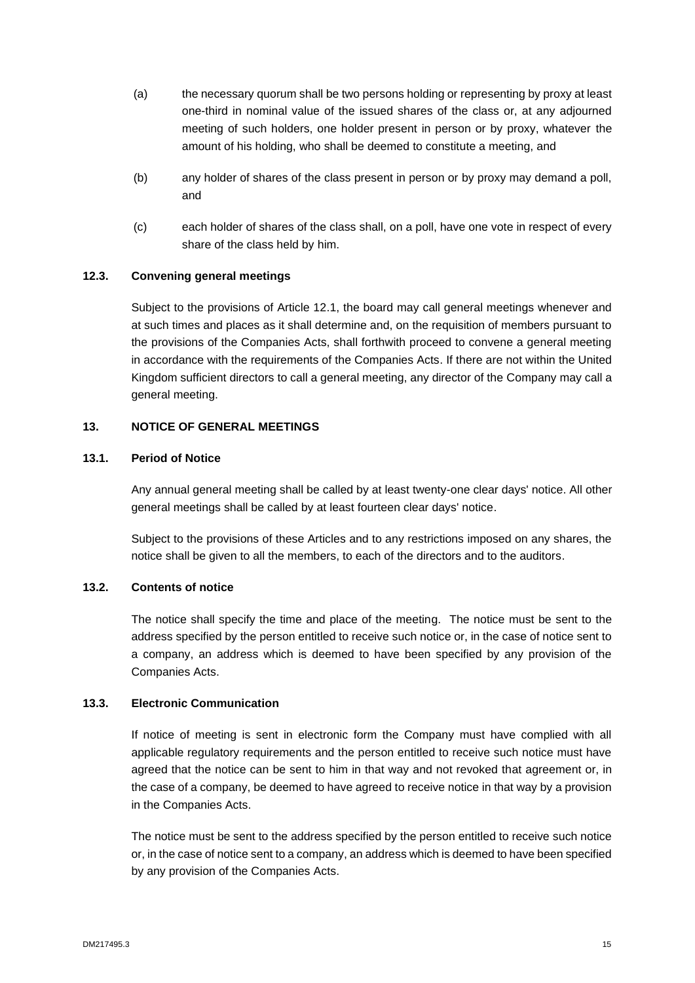- (a) the necessary quorum shall be two persons holding or representing by proxy at least one-third in nominal value of the issued shares of the class or, at any adjourned meeting of such holders, one holder present in person or by proxy, whatever the amount of his holding, who shall be deemed to constitute a meeting, and
- (b) any holder of shares of the class present in person or by proxy may demand a poll, and
- (c) each holder of shares of the class shall, on a poll, have one vote in respect of every share of the class held by him.

# **12.3. Convening general meetings**

Subject to the provisions of Article 12.1, the board may call general meetings whenever and at such times and places as it shall determine and, on the requisition of members pursuant to the provisions of the Companies Acts, shall forthwith proceed to convene a general meeting in accordance with the requirements of the Companies Acts. If there are not within the United Kingdom sufficient directors to call a general meeting, any director of the Company may call a general meeting.

# <span id="page-17-0"></span>**13. NOTICE OF GENERAL MEETINGS**

# **13.1. Period of Notice**

Any annual general meeting shall be called by at least twenty-one clear days' notice. All other general meetings shall be called by at least fourteen clear days' notice.

Subject to the provisions of these Articles and to any restrictions imposed on any shares, the notice shall be given to all the members, to each of the directors and to the auditors.

# **13.2. Contents of notice**

The notice shall specify the time and place of the meeting. The notice must be sent to the address specified by the person entitled to receive such notice or, in the case of notice sent to a company, an address which is deemed to have been specified by any provision of the Companies Acts.

# **13.3. Electronic Communication**

If notice of meeting is sent in electronic form the Company must have complied with all applicable regulatory requirements and the person entitled to receive such notice must have agreed that the notice can be sent to him in that way and not revoked that agreement or, in the case of a company, be deemed to have agreed to receive notice in that way by a provision in the Companies Acts.

The notice must be sent to the address specified by the person entitled to receive such notice or, in the case of notice sent to a company, an address which is deemed to have been specified by any provision of the Companies Acts.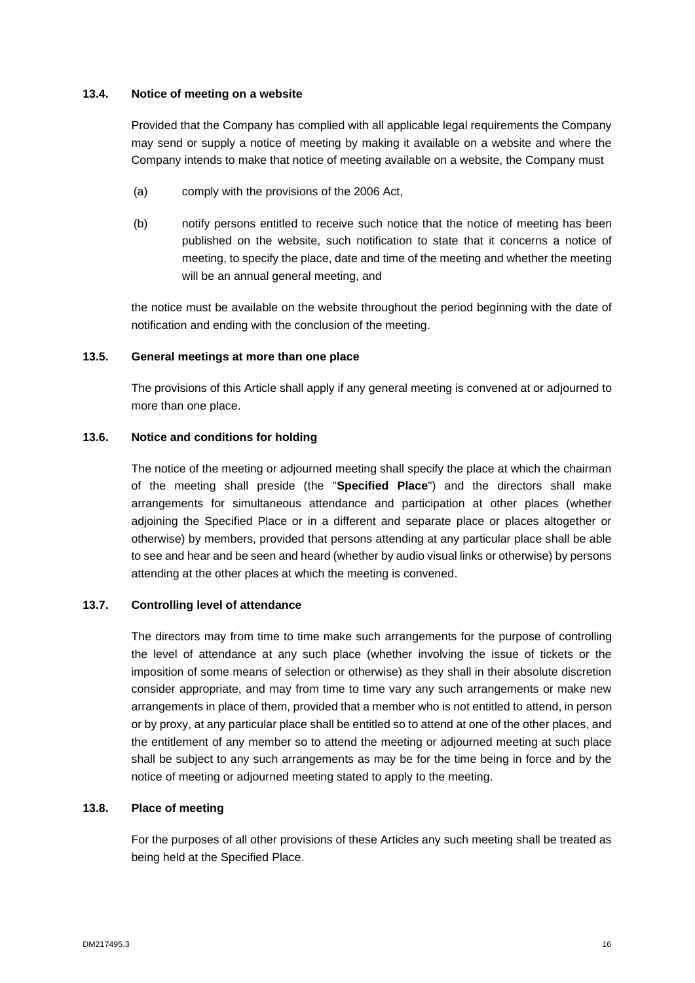### **13.4. Notice of meeting on a website**

Provided that the Company has complied with all applicable legal requirements the Company may send or supply a notice of meeting by making it available on a website and where the Company intends to make that notice of meeting available on a website, the Company must

- (a) comply with the provisions of the 2006 Act,
- (b) notify persons entitled to receive such notice that the notice of meeting has been published on the website, such notification to state that it concerns a notice of meeting, to specify the place, date and time of the meeting and whether the meeting will be an annual general meeting, and

the notice must be available on the website throughout the period beginning with the date of notification and ending with the conclusion of the meeting.

#### **13.5. General meetings at more than one place**

The provisions of this Article shall apply if any general meeting is convened at or adjourned to more than one place.

#### **13.6. Notice and conditions for holding**

The notice of the meeting or adjourned meeting shall specify the place at which the chairman of the meeting shall preside (the "**Specified Place**") and the directors shall make arrangements for simultaneous attendance and participation at other places (whether adjoining the Specified Place or in a different and separate place or places altogether or otherwise) by members, provided that persons attending at any particular place shall be able to see and hear and be seen and heard (whether by audio visual links or otherwise) by persons attending at the other places at which the meeting is convened.

#### **13.7. Controlling level of attendance**

The directors may from time to time make such arrangements for the purpose of controlling the level of attendance at any such place (whether involving the issue of tickets or the imposition of some means of selection or otherwise) as they shall in their absolute discretion consider appropriate, and may from time to time vary any such arrangements or make new arrangements in place of them, provided that a member who is not entitled to attend, in person or by proxy, at any particular place shall be entitled so to attend at one of the other places, and the entitlement of any member so to attend the meeting or adjourned meeting at such place shall be subject to any such arrangements as may be for the time being in force and by the notice of meeting or adjourned meeting stated to apply to the meeting.

#### **13.8. Place of meeting**

For the purposes of all other provisions of these Articles any such meeting shall be treated as being held at the Specified Place.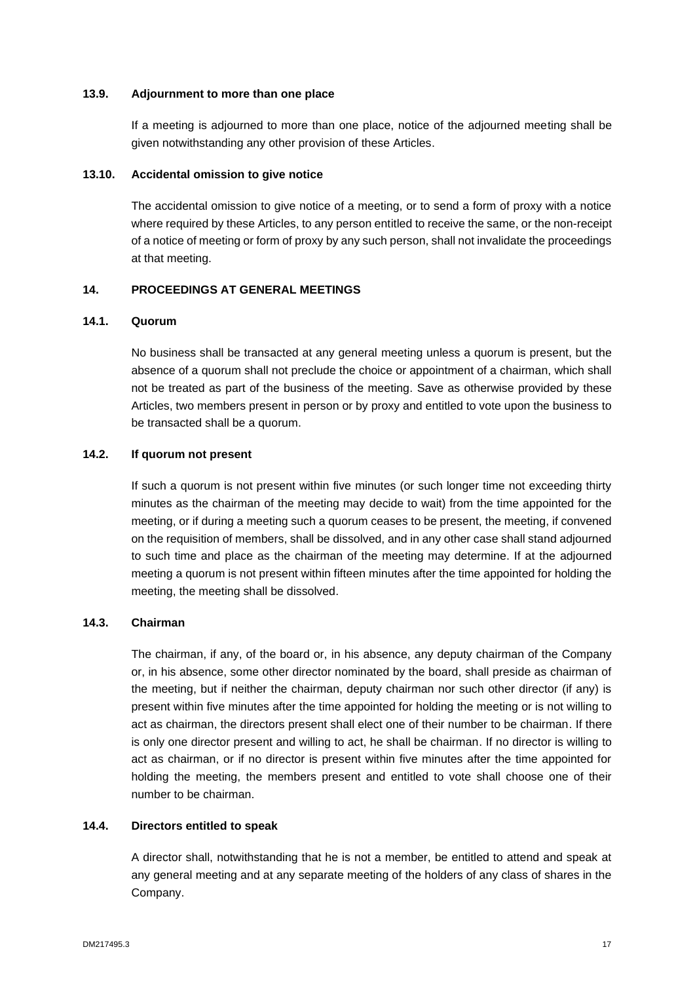#### **13.9. Adjournment to more than one place**

If a meeting is adjourned to more than one place, notice of the adjourned meeting shall be given notwithstanding any other provision of these Articles.

#### **13.10. Accidental omission to give notice**

The accidental omission to give notice of a meeting, or to send a form of proxy with a notice where required by these Articles, to any person entitled to receive the same, or the non-receipt of a notice of meeting or form of proxy by any such person, shall not invalidate the proceedings at that meeting.

# <span id="page-19-0"></span>**14. PROCEEDINGS AT GENERAL MEETINGS**

#### **14.1. Quorum**

No business shall be transacted at any general meeting unless a quorum is present, but the absence of a quorum shall not preclude the choice or appointment of a chairman, which shall not be treated as part of the business of the meeting. Save as otherwise provided by these Articles, two members present in person or by proxy and entitled to vote upon the business to be transacted shall be a quorum.

# **14.2. If quorum not present**

If such a quorum is not present within five minutes (or such longer time not exceeding thirty minutes as the chairman of the meeting may decide to wait) from the time appointed for the meeting, or if during a meeting such a quorum ceases to be present, the meeting, if convened on the requisition of members, shall be dissolved, and in any other case shall stand adjourned to such time and place as the chairman of the meeting may determine. If at the adjourned meeting a quorum is not present within fifteen minutes after the time appointed for holding the meeting, the meeting shall be dissolved.

# **14.3. Chairman**

The chairman, if any, of the board or, in his absence, any deputy chairman of the Company or, in his absence, some other director nominated by the board, shall preside as chairman of the meeting, but if neither the chairman, deputy chairman nor such other director (if any) is present within five minutes after the time appointed for holding the meeting or is not willing to act as chairman, the directors present shall elect one of their number to be chairman. If there is only one director present and willing to act, he shall be chairman. If no director is willing to act as chairman, or if no director is present within five minutes after the time appointed for holding the meeting, the members present and entitled to vote shall choose one of their number to be chairman.

# **14.4. Directors entitled to speak**

A director shall, notwithstanding that he is not a member, be entitled to attend and speak at any general meeting and at any separate meeting of the holders of any class of shares in the Company.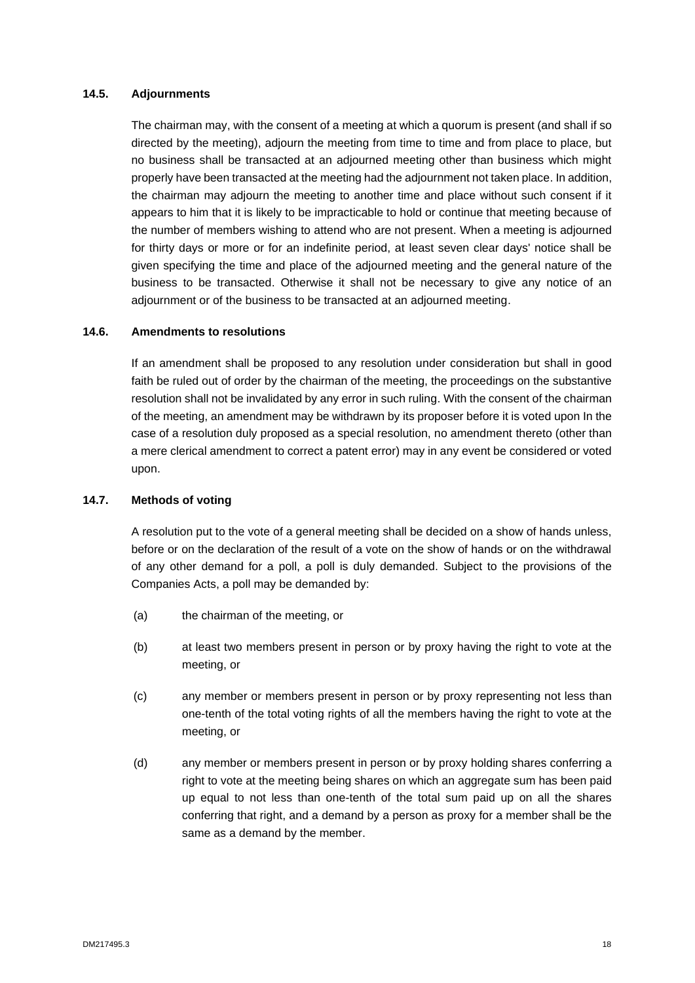### **14.5. Adjournments**

The chairman may, with the consent of a meeting at which a quorum is present (and shall if so directed by the meeting), adjourn the meeting from time to time and from place to place, but no business shall be transacted at an adjourned meeting other than business which might properly have been transacted at the meeting had the adjournment not taken place. In addition, the chairman may adjourn the meeting to another time and place without such consent if it appears to him that it is likely to be impracticable to hold or continue that meeting because of the number of members wishing to attend who are not present. When a meeting is adjourned for thirty days or more or for an indefinite period, at least seven clear days' notice shall be given specifying the time and place of the adjourned meeting and the general nature of the business to be transacted. Otherwise it shall not be necessary to give any notice of an adjournment or of the business to be transacted at an adjourned meeting.

# **14.6. Amendments to resolutions**

If an amendment shall be proposed to any resolution under consideration but shall in good faith be ruled out of order by the chairman of the meeting, the proceedings on the substantive resolution shall not be invalidated by any error in such ruling. With the consent of the chairman of the meeting, an amendment may be withdrawn by its proposer before it is voted upon In the case of a resolution duly proposed as a special resolution, no amendment thereto (other than a mere clerical amendment to correct a patent error) may in any event be considered or voted upon.

# **14.7. Methods of voting**

A resolution put to the vote of a general meeting shall be decided on a show of hands unless, before or on the declaration of the result of a vote on the show of hands or on the withdrawal of any other demand for a poll, a poll is duly demanded. Subject to the provisions of the Companies Acts, a poll may be demanded by:

- (a) the chairman of the meeting, or
- (b) at least two members present in person or by proxy having the right to vote at the meeting, or
- (c) any member or members present in person or by proxy representing not less than one-tenth of the total voting rights of all the members having the right to vote at the meeting, or
- (d) any member or members present in person or by proxy holding shares conferring a right to vote at the meeting being shares on which an aggregate sum has been paid up equal to not less than one-tenth of the total sum paid up on all the shares conferring that right, and a demand by a person as proxy for a member shall be the same as a demand by the member.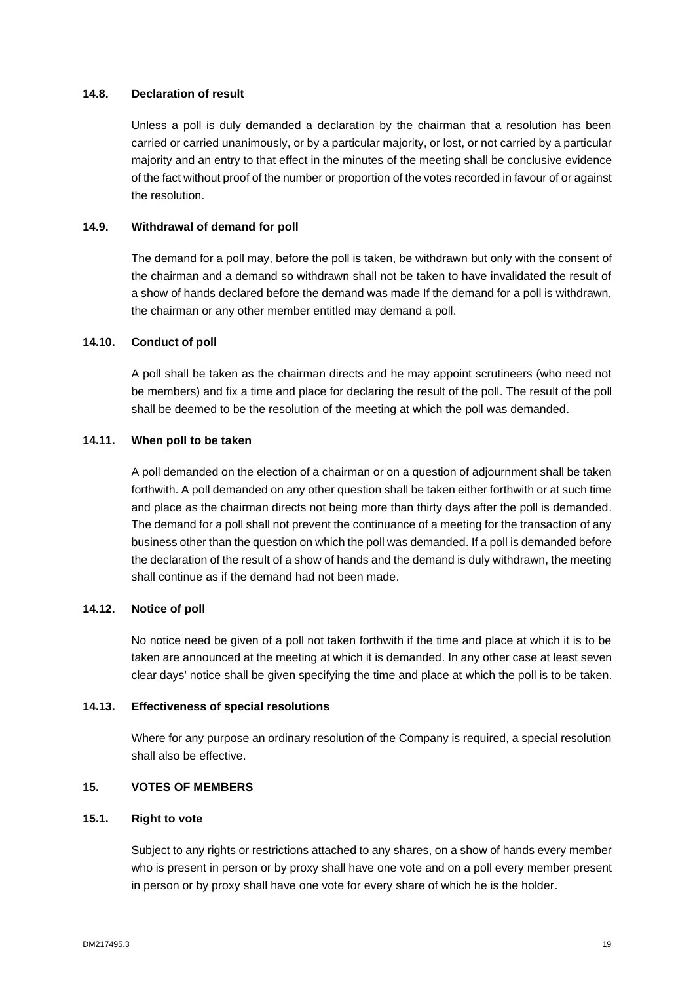### **14.8. Declaration of result**

Unless a poll is duly demanded a declaration by the chairman that a resolution has been carried or carried unanimously, or by a particular majority, or lost, or not carried by a particular majority and an entry to that effect in the minutes of the meeting shall be conclusive evidence of the fact without proof of the number or proportion of the votes recorded in favour of or against the resolution.

### **14.9. Withdrawal of demand for poll**

The demand for a poll may, before the poll is taken, be withdrawn but only with the consent of the chairman and a demand so withdrawn shall not be taken to have invalidated the result of a show of hands declared before the demand was made If the demand for a poll is withdrawn, the chairman or any other member entitled may demand a poll.

# **14.10. Conduct of poll**

A poll shall be taken as the chairman directs and he may appoint scrutineers (who need not be members) and fix a time and place for declaring the result of the poll. The result of the poll shall be deemed to be the resolution of the meeting at which the poll was demanded.

### **14.11. When poll to be taken**

A poll demanded on the election of a chairman or on a question of adjournment shall be taken forthwith. A poll demanded on any other question shall be taken either forthwith or at such time and place as the chairman directs not being more than thirty days after the poll is demanded. The demand for a poll shall not prevent the continuance of a meeting for the transaction of any business other than the question on which the poll was demanded. If a poll is demanded before the declaration of the result of a show of hands and the demand is duly withdrawn, the meeting shall continue as if the demand had not been made.

### **14.12. Notice of poll**

No notice need be given of a poll not taken forthwith if the time and place at which it is to be taken are announced at the meeting at which it is demanded. In any other case at least seven clear days' notice shall be given specifying the time and place at which the poll is to be taken.

#### **14.13. Effectiveness of special resolutions**

Where for any purpose an ordinary resolution of the Company is required, a special resolution shall also be effective.

# <span id="page-21-0"></span>**15. VOTES OF MEMBERS**

#### **15.1. Right to vote**

Subject to any rights or restrictions attached to any shares, on a show of hands every member who is present in person or by proxy shall have one vote and on a poll every member present in person or by proxy shall have one vote for every share of which he is the holder.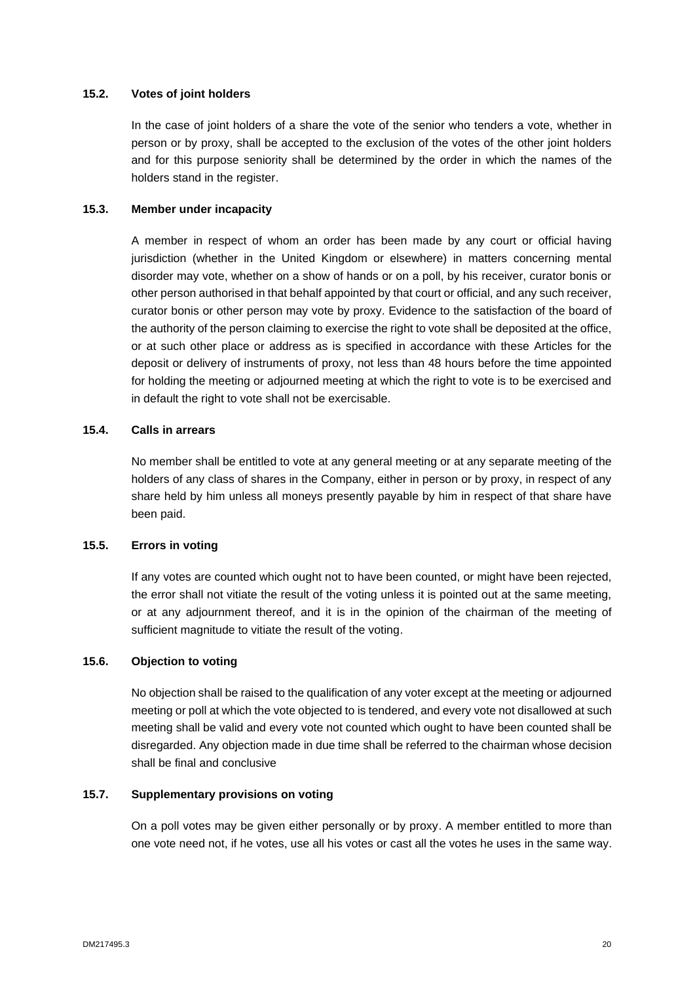### **15.2. Votes of joint holders**

In the case of joint holders of a share the vote of the senior who tenders a vote, whether in person or by proxy, shall be accepted to the exclusion of the votes of the other joint holders and for this purpose seniority shall be determined by the order in which the names of the holders stand in the register.

#### **15.3. Member under incapacity**

A member in respect of whom an order has been made by any court or official having jurisdiction (whether in the United Kingdom or elsewhere) in matters concerning mental disorder may vote, whether on a show of hands or on a poll, by his receiver, curator bonis or other person authorised in that behalf appointed by that court or official, and any such receiver, curator bonis or other person may vote by proxy. Evidence to the satisfaction of the board of the authority of the person claiming to exercise the right to vote shall be deposited at the office, or at such other place or address as is specified in accordance with these Articles for the deposit or delivery of instruments of proxy, not less than 48 hours before the time appointed for holding the meeting or adjourned meeting at which the right to vote is to be exercised and in default the right to vote shall not be exercisable.

### **15.4. Calls in arrears**

No member shall be entitled to vote at any general meeting or at any separate meeting of the holders of any class of shares in the Company, either in person or by proxy, in respect of any share held by him unless all moneys presently payable by him in respect of that share have been paid.

# **15.5. Errors in voting**

If any votes are counted which ought not to have been counted, or might have been rejected, the error shall not vitiate the result of the voting unless it is pointed out at the same meeting, or at any adjournment thereof, and it is in the opinion of the chairman of the meeting of sufficient magnitude to vitiate the result of the voting.

# **15.6. Objection to voting**

No objection shall be raised to the qualification of any voter except at the meeting or adjourned meeting or poll at which the vote objected to is tendered, and every vote not disallowed at such meeting shall be valid and every vote not counted which ought to have been counted shall be disregarded. Any objection made in due time shall be referred to the chairman whose decision shall be final and conclusive

#### **15.7. Supplementary provisions on voting**

On a poll votes may be given either personally or by proxy. A member entitled to more than one vote need not, if he votes, use all his votes or cast all the votes he uses in the same way.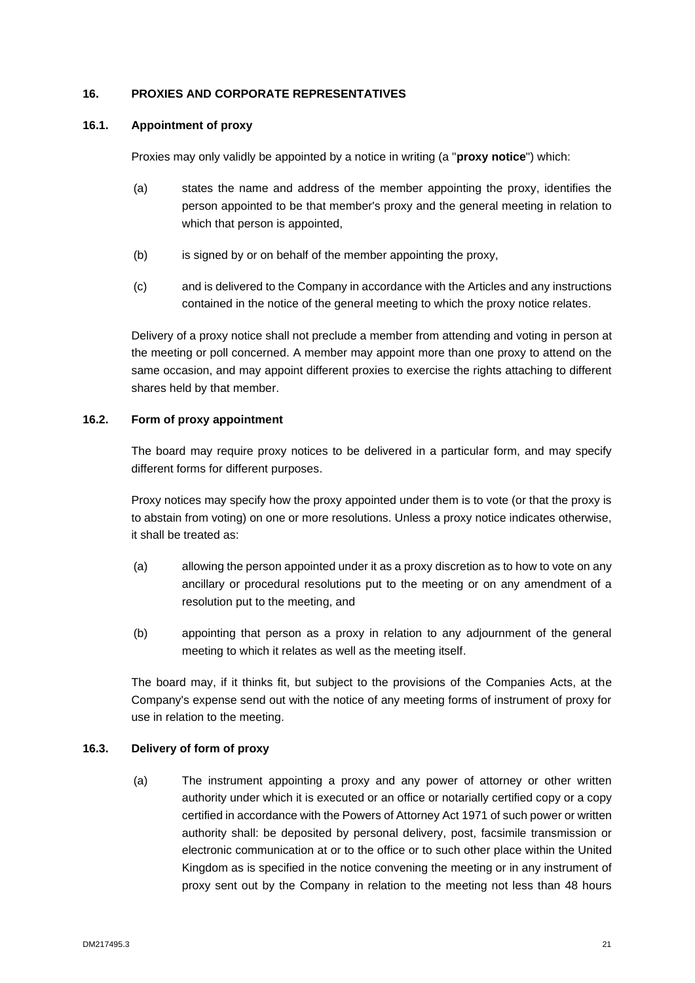# <span id="page-23-0"></span>**16. PROXIES AND CORPORATE REPRESENTATIVES**

# **16.1. Appointment of proxy**

Proxies may only validly be appointed by a notice in writing (a "**proxy notice**") which:

- (a) states the name and address of the member appointing the proxy, identifies the person appointed to be that member's proxy and the general meeting in relation to which that person is appointed,
- (b) is signed by or on behalf of the member appointing the proxy,
- (c) and is delivered to the Company in accordance with the Articles and any instructions contained in the notice of the general meeting to which the proxy notice relates.

Delivery of a proxy notice shall not preclude a member from attending and voting in person at the meeting or poll concerned. A member may appoint more than one proxy to attend on the same occasion, and may appoint different proxies to exercise the rights attaching to different shares held by that member.

# **16.2. Form of proxy appointment**

The board may require proxy notices to be delivered in a particular form, and may specify different forms for different purposes.

Proxy notices may specify how the proxy appointed under them is to vote (or that the proxy is to abstain from voting) on one or more resolutions. Unless a proxy notice indicates otherwise, it shall be treated as:

- (a) allowing the person appointed under it as a proxy discretion as to how to vote on any ancillary or procedural resolutions put to the meeting or on any amendment of a resolution put to the meeting, and
- (b) appointing that person as a proxy in relation to any adjournment of the general meeting to which it relates as well as the meeting itself.

The board may, if it thinks fit, but subject to the provisions of the Companies Acts, at the Company's expense send out with the notice of any meeting forms of instrument of proxy for use in relation to the meeting.

# **16.3. Delivery of form of proxy**

(a) The instrument appointing a proxy and any power of attorney or other written authority under which it is executed or an office or notarially certified copy or a copy certified in accordance with the Powers of Attorney Act 1971 of such power or written authority shall: be deposited by personal delivery, post, facsimile transmission or electronic communication at or to the office or to such other place within the United Kingdom as is specified in the notice convening the meeting or in any instrument of proxy sent out by the Company in relation to the meeting not less than 48 hours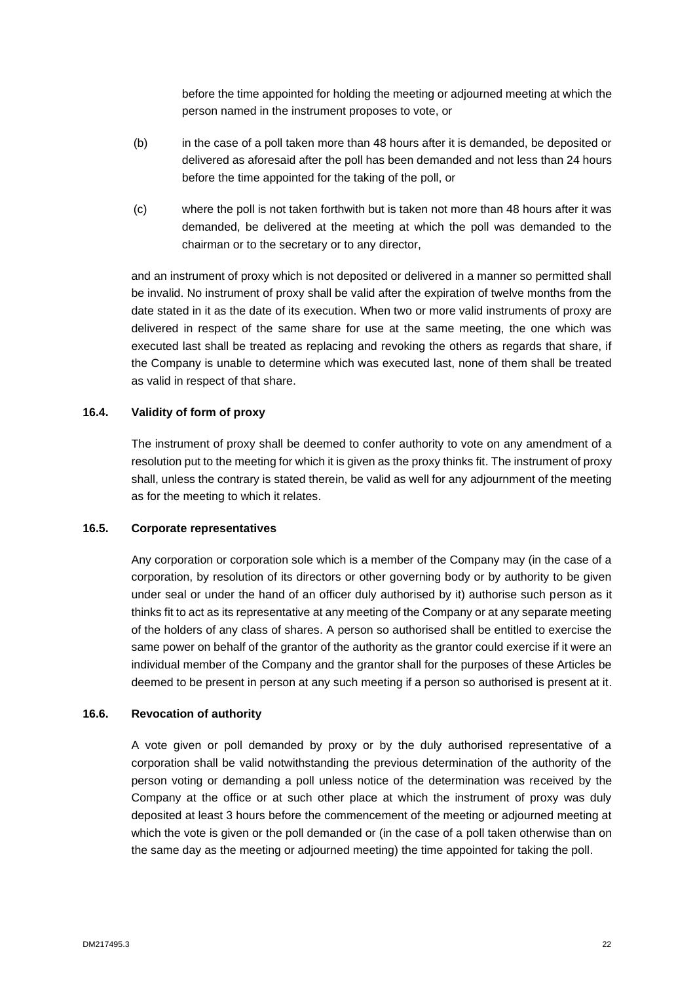before the time appointed for holding the meeting or adjourned meeting at which the person named in the instrument proposes to vote, or

- (b) in the case of a poll taken more than 48 hours after it is demanded, be deposited or delivered as aforesaid after the poll has been demanded and not less than 24 hours before the time appointed for the taking of the poll, or
- (c) where the poll is not taken forthwith but is taken not more than 48 hours after it was demanded, be delivered at the meeting at which the poll was demanded to the chairman or to the secretary or to any director,

and an instrument of proxy which is not deposited or delivered in a manner so permitted shall be invalid. No instrument of proxy shall be valid after the expiration of twelve months from the date stated in it as the date of its execution. When two or more valid instruments of proxy are delivered in respect of the same share for use at the same meeting, the one which was executed last shall be treated as replacing and revoking the others as regards that share, if the Company is unable to determine which was executed last, none of them shall be treated as valid in respect of that share.

#### **16.4. Validity of form of proxy**

The instrument of proxy shall be deemed to confer authority to vote on any amendment of a resolution put to the meeting for which it is given as the proxy thinks fit. The instrument of proxy shall, unless the contrary is stated therein, be valid as well for any adjournment of the meeting as for the meeting to which it relates.

#### **16.5. Corporate representatives**

Any corporation or corporation sole which is a member of the Company may (in the case of a corporation, by resolution of its directors or other governing body or by authority to be given under seal or under the hand of an officer duly authorised by it) authorise such person as it thinks fit to act as its representative at any meeting of the Company or at any separate meeting of the holders of any class of shares. A person so authorised shall be entitled to exercise the same power on behalf of the grantor of the authority as the grantor could exercise if it were an individual member of the Company and the grantor shall for the purposes of these Articles be deemed to be present in person at any such meeting if a person so authorised is present at it.

#### **16.6. Revocation of authority**

A vote given or poll demanded by proxy or by the duly authorised representative of a corporation shall be valid notwithstanding the previous determination of the authority of the person voting or demanding a poll unless notice of the determination was received by the Company at the office or at such other place at which the instrument of proxy was duly deposited at least 3 hours before the commencement of the meeting or adjourned meeting at which the vote is given or the poll demanded or (in the case of a poll taken otherwise than on the same day as the meeting or adjourned meeting) the time appointed for taking the poll.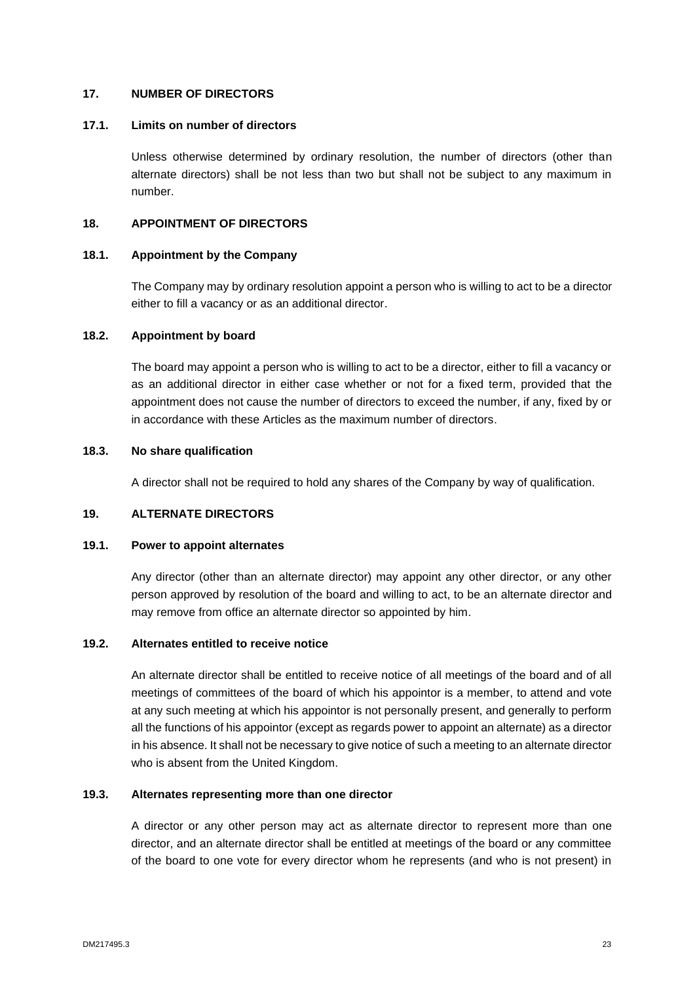# <span id="page-25-0"></span>**17. NUMBER OF DIRECTORS**

#### **17.1. Limits on number of directors**

Unless otherwise determined by ordinary resolution, the number of directors (other than alternate directors) shall be not less than two but shall not be subject to any maximum in number.

### <span id="page-25-1"></span>**18. APPOINTMENT OF DIRECTORS**

#### **18.1. Appointment by the Company**

The Company may by ordinary resolution appoint a person who is willing to act to be a director either to fill a vacancy or as an additional director.

# **18.2. Appointment by board**

The board may appoint a person who is willing to act to be a director, either to fill a vacancy or as an additional director in either case whether or not for a fixed term, provided that the appointment does not cause the number of directors to exceed the number, if any, fixed by or in accordance with these Articles as the maximum number of directors.

# **18.3. No share qualification**

A director shall not be required to hold any shares of the Company by way of qualification.

#### <span id="page-25-2"></span>**19. ALTERNATE DIRECTORS**

#### **19.1. Power to appoint alternates**

Any director (other than an alternate director) may appoint any other director, or any other person approved by resolution of the board and willing to act, to be an alternate director and may remove from office an alternate director so appointed by him.

### **19.2. Alternates entitled to receive notice**

An alternate director shall be entitled to receive notice of all meetings of the board and of all meetings of committees of the board of which his appointor is a member, to attend and vote at any such meeting at which his appointor is not personally present, and generally to perform all the functions of his appointor (except as regards power to appoint an alternate) as a director in his absence. It shall not be necessary to give notice of such a meeting to an alternate director who is absent from the United Kingdom.

# **19.3. Alternates representing more than one director**

A director or any other person may act as alternate director to represent more than one director, and an alternate director shall be entitled at meetings of the board or any committee of the board to one vote for every director whom he represents (and who is not present) in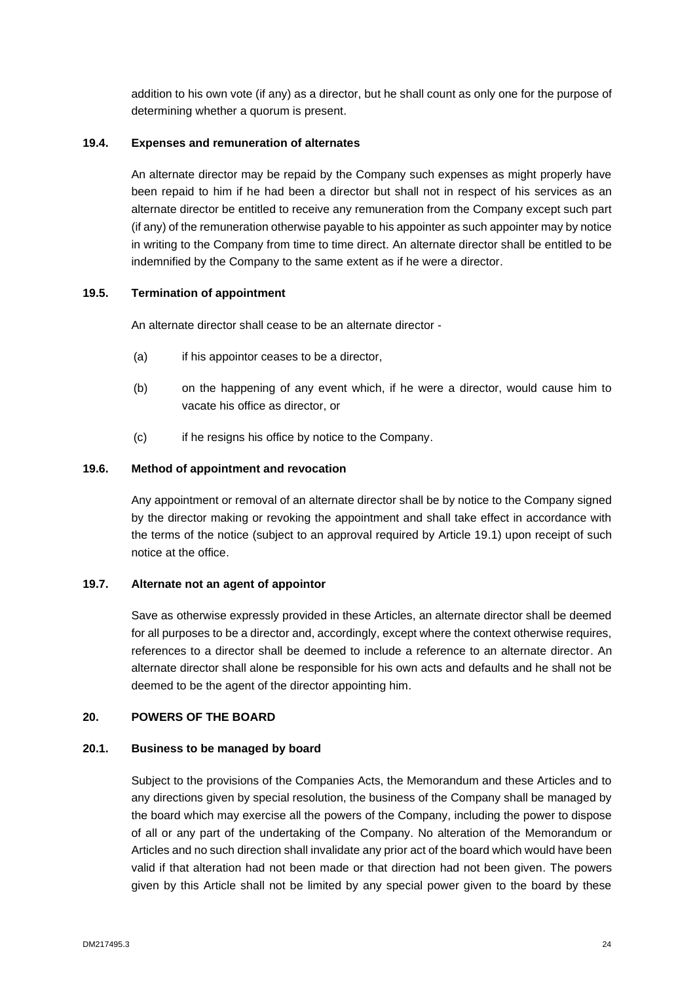addition to his own vote (if any) as a director, but he shall count as only one for the purpose of determining whether a quorum is present.

# **19.4. Expenses and remuneration of alternates**

An alternate director may be repaid by the Company such expenses as might properly have been repaid to him if he had been a director but shall not in respect of his services as an alternate director be entitled to receive any remuneration from the Company except such part (if any) of the remuneration otherwise payable to his appointer as such appointer may by notice in writing to the Company from time to time direct. An alternate director shall be entitled to be indemnified by the Company to the same extent as if he were a director.

# **19.5. Termination of appointment**

An alternate director shall cease to be an alternate director -

- (a) if his appointor ceases to be a director,
- (b) on the happening of any event which, if he were a director, would cause him to vacate his office as director, or
- (c) if he resigns his office by notice to the Company.

#### **19.6. Method of appointment and revocation**

Any appointment or removal of an alternate director shall be by notice to the Company signed by the director making or revoking the appointment and shall take effect in accordance with the terms of the notice (subject to an approval required by Article 19.1) upon receipt of such notice at the office.

# **19.7. Alternate not an agent of appointor**

Save as otherwise expressly provided in these Articles, an alternate director shall be deemed for all purposes to be a director and, accordingly, except where the context otherwise requires. references to a director shall be deemed to include a reference to an alternate director. An alternate director shall alone be responsible for his own acts and defaults and he shall not be deemed to be the agent of the director appointing him.

#### <span id="page-26-0"></span>**20. POWERS OF THE BOARD**

#### **20.1. Business to be managed by board**

Subject to the provisions of the Companies Acts, the Memorandum and these Articles and to any directions given by special resolution, the business of the Company shall be managed by the board which may exercise all the powers of the Company, including the power to dispose of all or any part of the undertaking of the Company. No alteration of the Memorandum or Articles and no such direction shall invalidate any prior act of the board which would have been valid if that alteration had not been made or that direction had not been given. The powers given by this Article shall not be limited by any special power given to the board by these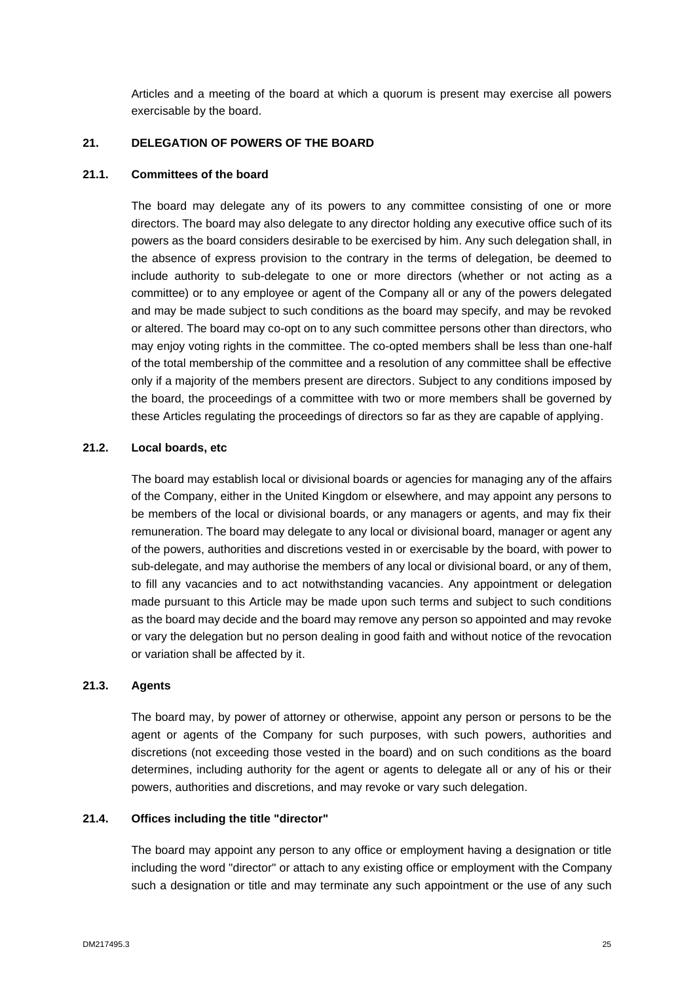Articles and a meeting of the board at which a quorum is present may exercise all powers exercisable by the board.

# <span id="page-27-0"></span>**21. DELEGATION OF POWERS OF THE BOARD**

#### **21.1. Committees of the board**

The board may delegate any of its powers to any committee consisting of one or more directors. The board may also delegate to any director holding any executive office such of its powers as the board considers desirable to be exercised by him. Any such delegation shall, in the absence of express provision to the contrary in the terms of delegation, be deemed to include authority to sub-delegate to one or more directors (whether or not acting as a committee) or to any employee or agent of the Company all or any of the powers delegated and may be made subject to such conditions as the board may specify, and may be revoked or altered. The board may co-opt on to any such committee persons other than directors, who may enjoy voting rights in the committee. The co-opted members shall be less than one-half of the total membership of the committee and a resolution of any committee shall be effective only if a majority of the members present are directors. Subject to any conditions imposed by the board, the proceedings of a committee with two or more members shall be governed by these Articles regulating the proceedings of directors so far as they are capable of applying.

# **21.2. Local boards, etc**

The board may establish local or divisional boards or agencies for managing any of the affairs of the Company, either in the United Kingdom or elsewhere, and may appoint any persons to be members of the local or divisional boards, or any managers or agents, and may fix their remuneration. The board may delegate to any local or divisional board, manager or agent any of the powers, authorities and discretions vested in or exercisable by the board, with power to sub-delegate, and may authorise the members of any local or divisional board, or any of them, to fill any vacancies and to act notwithstanding vacancies. Any appointment or delegation made pursuant to this Article may be made upon such terms and subject to such conditions as the board may decide and the board may remove any person so appointed and may revoke or vary the delegation but no person dealing in good faith and without notice of the revocation or variation shall be affected by it.

# **21.3. Agents**

The board may, by power of attorney or otherwise, appoint any person or persons to be the agent or agents of the Company for such purposes, with such powers, authorities and discretions (not exceeding those vested in the board) and on such conditions as the board determines, including authority for the agent or agents to delegate all or any of his or their powers, authorities and discretions, and may revoke or vary such delegation.

#### **21.4. Offices including the title "director"**

The board may appoint any person to any office or employment having a designation or title including the word "director" or attach to any existing office or employment with the Company such a designation or title and may terminate any such appointment or the use of any such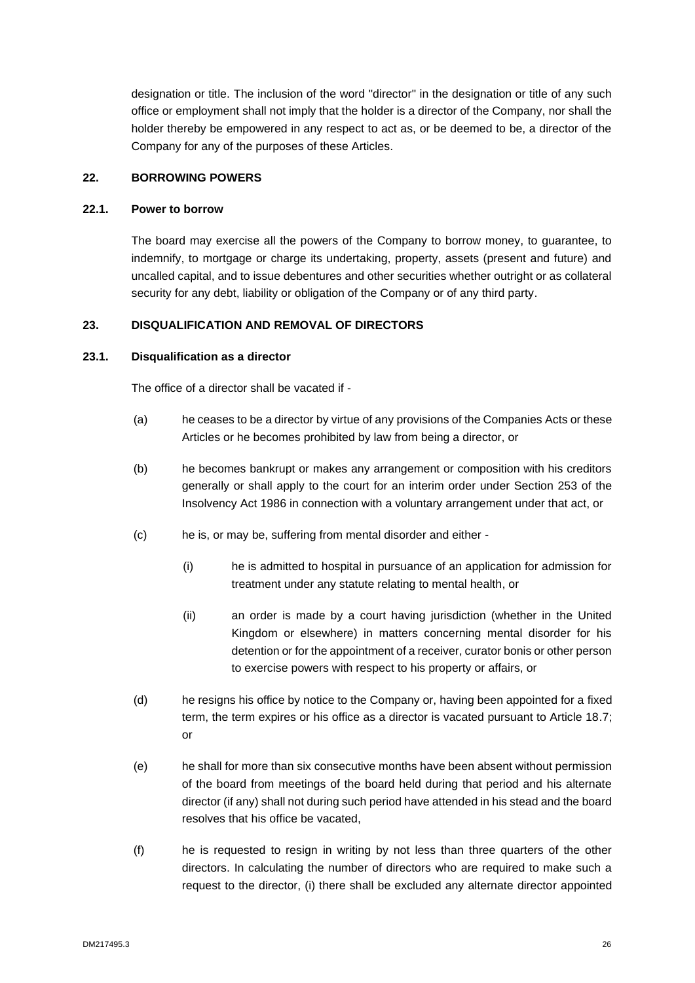designation or title. The inclusion of the word "director" in the designation or title of any such office or employment shall not imply that the holder is a director of the Company, nor shall the holder thereby be empowered in any respect to act as, or be deemed to be, a director of the Company for any of the purposes of these Articles.

# <span id="page-28-0"></span>**22. BORROWING POWERS**

#### **22.1. Power to borrow**

The board may exercise all the powers of the Company to borrow money, to guarantee, to indemnify, to mortgage or charge its undertaking, property, assets (present and future) and uncalled capital, and to issue debentures and other securities whether outright or as collateral security for any debt, liability or obligation of the Company or of any third party.

#### <span id="page-28-1"></span>**23. DISQUALIFICATION AND REMOVAL OF DIRECTORS**

#### **23.1. Disqualification as a director**

The office of a director shall be vacated if -

- (a) he ceases to be a director by virtue of any provisions of the Companies Acts or these Articles or he becomes prohibited by law from being a director, or
- (b) he becomes bankrupt or makes any arrangement or composition with his creditors generally or shall apply to the court for an interim order under Section 253 of the Insolvency Act 1986 in connection with a voluntary arrangement under that act, or
- (c) he is, or may be, suffering from mental disorder and either
	- (i) he is admitted to hospital in pursuance of an application for admission for treatment under any statute relating to mental health, or
	- (ii) an order is made by a court having jurisdiction (whether in the United Kingdom or elsewhere) in matters concerning mental disorder for his detention or for the appointment of a receiver, curator bonis or other person to exercise powers with respect to his property or affairs, or
- (d) he resigns his office by notice to the Company or, having been appointed for a fixed term, the term expires or his office as a director is vacated pursuant to Article 18.7; or
- (e) he shall for more than six consecutive months have been absent without permission of the board from meetings of the board held during that period and his alternate director (if any) shall not during such period have attended in his stead and the board resolves that his office be vacated,
- (f) he is requested to resign in writing by not less than three quarters of the other directors. In calculating the number of directors who are required to make such a request to the director, (i) there shall be excluded any alternate director appointed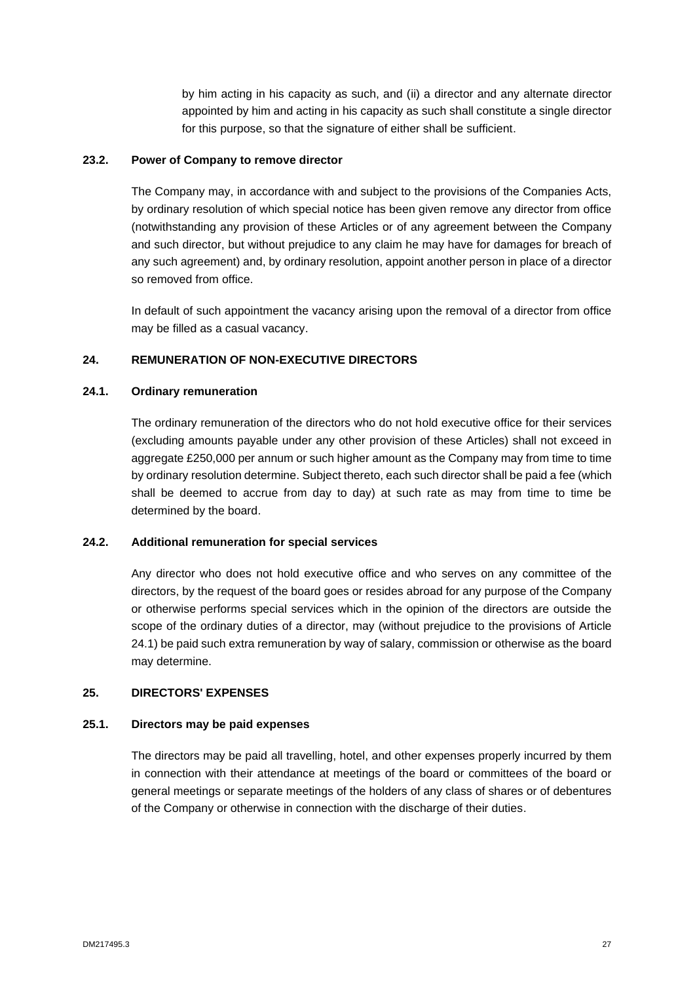by him acting in his capacity as such, and (ii) a director and any alternate director appointed by him and acting in his capacity as such shall constitute a single director for this purpose, so that the signature of either shall be sufficient.

# **23.2. Power of Company to remove director**

The Company may, in accordance with and subject to the provisions of the Companies Acts, by ordinary resolution of which special notice has been given remove any director from office (notwithstanding any provision of these Articles or of any agreement between the Company and such director, but without prejudice to any claim he may have for damages for breach of any such agreement) and, by ordinary resolution, appoint another person in place of a director so removed from office.

In default of such appointment the vacancy arising upon the removal of a director from office may be filled as a casual vacancy.

# <span id="page-29-0"></span>**24. REMUNERATION OF NON-EXECUTIVE DIRECTORS**

#### **24.1. Ordinary remuneration**

The ordinary remuneration of the directors who do not hold executive office for their services (excluding amounts payable under any other provision of these Articles) shall not exceed in aggregate £250,000 per annum or such higher amount as the Company may from time to time by ordinary resolution determine. Subject thereto, each such director shall be paid a fee (which shall be deemed to accrue from day to day) at such rate as may from time to time be determined by the board.

# **24.2. Additional remuneration for special services**

Any director who does not hold executive office and who serves on any committee of the directors, by the request of the board goes or resides abroad for any purpose of the Company or otherwise performs special services which in the opinion of the directors are outside the scope of the ordinary duties of a director, may (without prejudice to the provisions of Article 24.1) be paid such extra remuneration by way of salary, commission or otherwise as the board may determine.

#### <span id="page-29-1"></span>**25. DIRECTORS' EXPENSES**

#### **25.1. Directors may be paid expenses**

The directors may be paid all travelling, hotel, and other expenses properly incurred by them in connection with their attendance at meetings of the board or committees of the board or general meetings or separate meetings of the holders of any class of shares or of debentures of the Company or otherwise in connection with the discharge of their duties.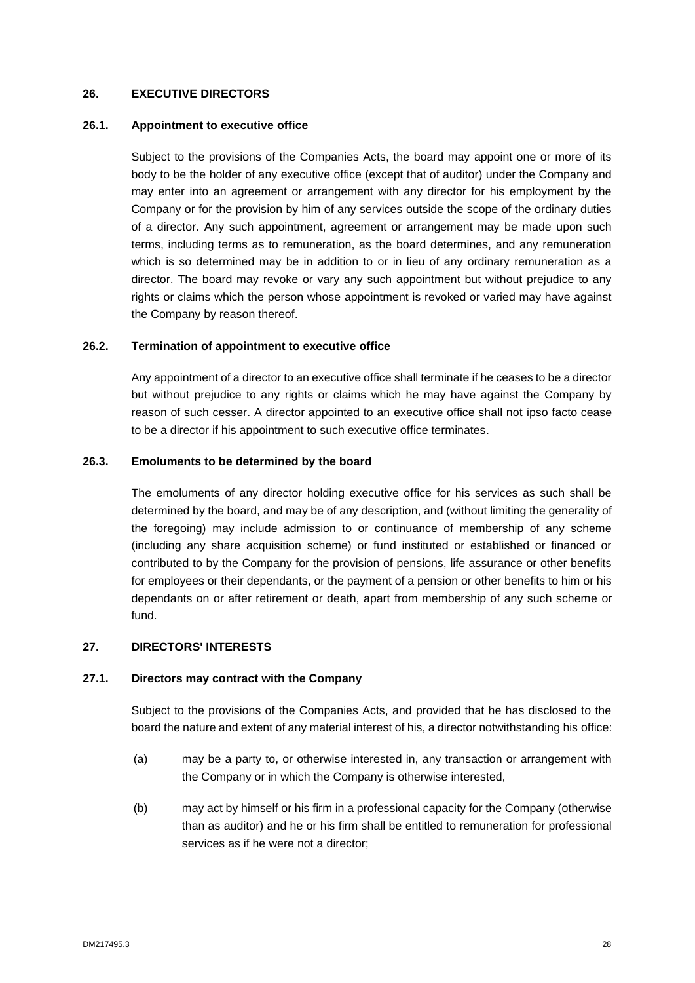# <span id="page-30-0"></span>**26. EXECUTIVE DIRECTORS**

#### **26.1. Appointment to executive office**

Subject to the provisions of the Companies Acts, the board may appoint one or more of its body to be the holder of any executive office (except that of auditor) under the Company and may enter into an agreement or arrangement with any director for his employment by the Company or for the provision by him of any services outside the scope of the ordinary duties of a director. Any such appointment, agreement or arrangement may be made upon such terms, including terms as to remuneration, as the board determines, and any remuneration which is so determined may be in addition to or in lieu of any ordinary remuneration as a director. The board may revoke or vary any such appointment but without prejudice to any rights or claims which the person whose appointment is revoked or varied may have against the Company by reason thereof.

### **26.2. Termination of appointment to executive office**

Any appointment of a director to an executive office shall terminate if he ceases to be a director but without prejudice to any rights or claims which he may have against the Company by reason of such cesser. A director appointed to an executive office shall not ipso facto cease to be a director if his appointment to such executive office terminates.

#### **26.3. Emoluments to be determined by the board**

The emoluments of any director holding executive office for his services as such shall be determined by the board, and may be of any description, and (without limiting the generality of the foregoing) may include admission to or continuance of membership of any scheme (including any share acquisition scheme) or fund instituted or established or financed or contributed to by the Company for the provision of pensions, life assurance or other benefits for employees or their dependants, or the payment of a pension or other benefits to him or his dependants on or after retirement or death, apart from membership of any such scheme or fund.

# <span id="page-30-1"></span>**27. DIRECTORS' INTERESTS**

#### **27.1. Directors may contract with the Company**

Subject to the provisions of the Companies Acts, and provided that he has disclosed to the board the nature and extent of any material interest of his, a director notwithstanding his office:

- (a) may be a party to, or otherwise interested in, any transaction or arrangement with the Company or in which the Company is otherwise interested,
- (b) may act by himself or his firm in a professional capacity for the Company (otherwise than as auditor) and he or his firm shall be entitled to remuneration for professional services as if he were not a director;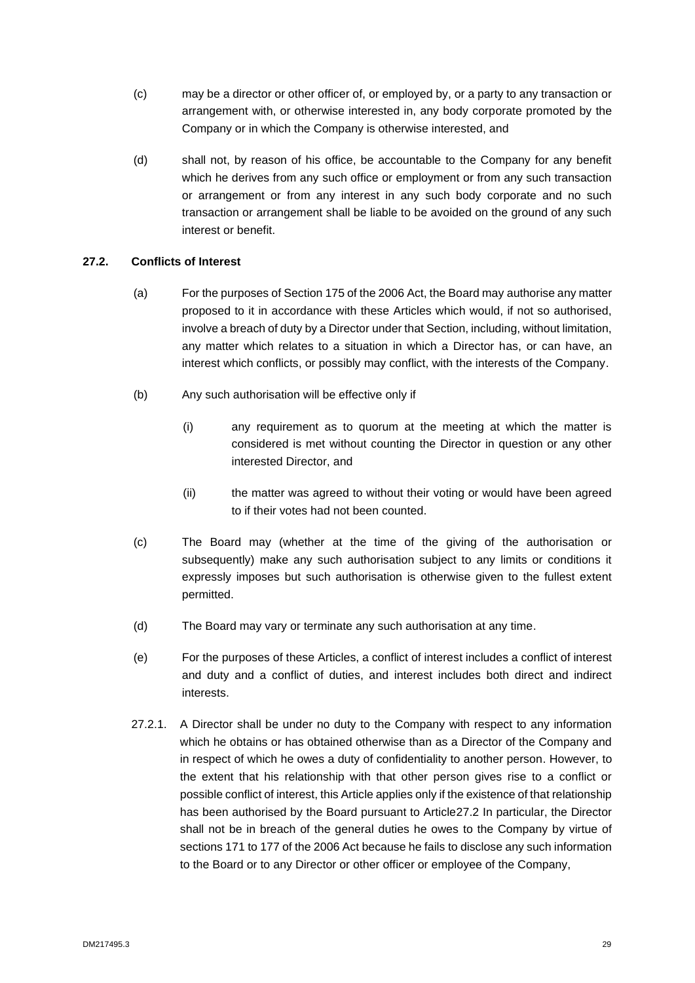- (c) may be a director or other officer of, or employed by, or a party to any transaction or arrangement with, or otherwise interested in, any body corporate promoted by the Company or in which the Company is otherwise interested, and
- (d) shall not, by reason of his office, be accountable to the Company for any benefit which he derives from any such office or employment or from any such transaction or arrangement or from any interest in any such body corporate and no such transaction or arrangement shall be liable to be avoided on the ground of any such interest or benefit.

# **27.2. Conflicts of Interest**

- (a) For the purposes of Section 175 of the 2006 Act, the Board may authorise any matter proposed to it in accordance with these Articles which would, if not so authorised, involve a breach of duty by a Director under that Section, including, without limitation, any matter which relates to a situation in which a Director has, or can have, an interest which conflicts, or possibly may conflict, with the interests of the Company.
- (b) Any such authorisation will be effective only if
	- (i) any requirement as to quorum at the meeting at which the matter is considered is met without counting the Director in question or any other interested Director, and
	- (ii) the matter was agreed to without their voting or would have been agreed to if their votes had not been counted.
- (c) The Board may (whether at the time of the giving of the authorisation or subsequently) make any such authorisation subject to any limits or conditions it expressly imposes but such authorisation is otherwise given to the fullest extent permitted.
- (d) The Board may vary or terminate any such authorisation at any time.
- (e) For the purposes of these Articles, a conflict of interest includes a conflict of interest and duty and a conflict of duties, and interest includes both direct and indirect interests.
- 27.2.1. A Director shall be under no duty to the Company with respect to any information which he obtains or has obtained otherwise than as a Director of the Company and in respect of which he owes a duty of confidentiality to another person. However, to the extent that his relationship with that other person gives rise to a conflict or possible conflict of interest, this Article applies only if the existence of that relationship has been authorised by the Board pursuant to Article27.2 In particular, the Director shall not be in breach of the general duties he owes to the Company by virtue of sections 171 to 177 of the 2006 Act because he fails to disclose any such information to the Board or to any Director or other officer or employee of the Company,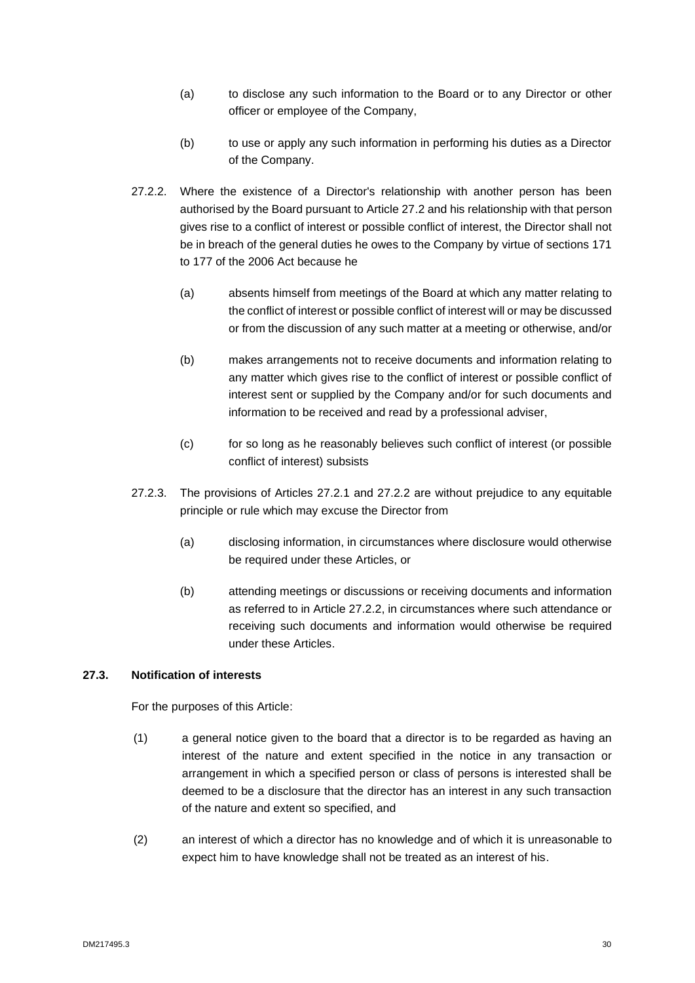- (a) to disclose any such information to the Board or to any Director or other officer or employee of the Company,
- (b) to use or apply any such information in performing his duties as a Director of the Company.
- 27.2.2. Where the existence of a Director's relationship with another person has been authorised by the Board pursuant to Article 27.2 and his relationship with that person gives rise to a conflict of interest or possible conflict of interest, the Director shall not be in breach of the general duties he owes to the Company by virtue of sections 171 to 177 of the 2006 Act because he
	- (a) absents himself from meetings of the Board at which any matter relating to the conflict of interest or possible conflict of interest will or may be discussed or from the discussion of any such matter at a meeting or otherwise, and/or
	- (b) makes arrangements not to receive documents and information relating to any matter which gives rise to the conflict of interest or possible conflict of interest sent or supplied by the Company and/or for such documents and information to be received and read by a professional adviser,
	- (c) for so long as he reasonably believes such conflict of interest (or possible conflict of interest) subsists
- 27.2.3. The provisions of Articles 27.2.1 and 27.2.2 are without prejudice to any equitable principle or rule which may excuse the Director from
	- (a) disclosing information, in circumstances where disclosure would otherwise be required under these Articles, or
	- (b) attending meetings or discussions or receiving documents and information as referred to in Article 27.2.2, in circumstances where such attendance or receiving such documents and information would otherwise be required under these Articles.

# **27.3. Notification of interests**

For the purposes of this Article:

- (1) a general notice given to the board that a director is to be regarded as having an interest of the nature and extent specified in the notice in any transaction or arrangement in which a specified person or class of persons is interested shall be deemed to be a disclosure that the director has an interest in any such transaction of the nature and extent so specified, and
- (2) an interest of which a director has no knowledge and of which it is unreasonable to expect him to have knowledge shall not be treated as an interest of his.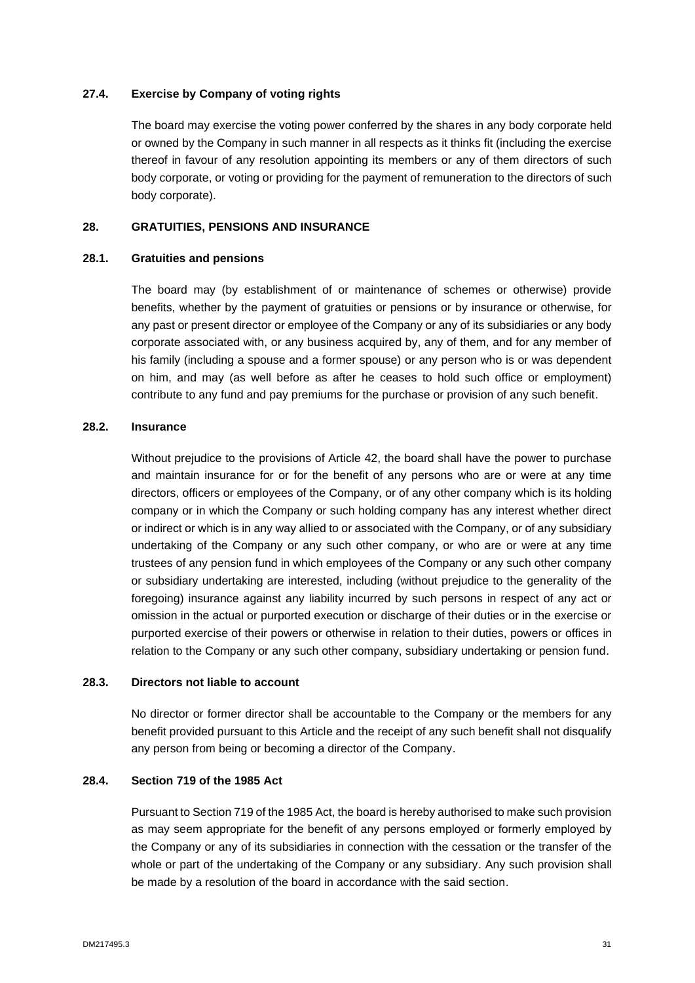# **27.4. Exercise by Company of voting rights**

The board may exercise the voting power conferred by the shares in any body corporate held or owned by the Company in such manner in all respects as it thinks fit (including the exercise thereof in favour of any resolution appointing its members or any of them directors of such body corporate, or voting or providing for the payment of remuneration to the directors of such body corporate).

# <span id="page-33-0"></span>**28. GRATUITIES, PENSIONS AND INSURANCE**

#### **28.1. Gratuities and pensions**

The board may (by establishment of or maintenance of schemes or otherwise) provide benefits, whether by the payment of gratuities or pensions or by insurance or otherwise, for any past or present director or employee of the Company or any of its subsidiaries or any body corporate associated with, or any business acquired by, any of them, and for any member of his family (including a spouse and a former spouse) or any person who is or was dependent on him, and may (as well before as after he ceases to hold such office or employment) contribute to any fund and pay premiums for the purchase or provision of any such benefit.

#### **28.2. Insurance**

Without prejudice to the provisions of Article 42, the board shall have the power to purchase and maintain insurance for or for the benefit of any persons who are or were at any time directors, officers or employees of the Company, or of any other company which is its holding company or in which the Company or such holding company has any interest whether direct or indirect or which is in any way allied to or associated with the Company, or of any subsidiary undertaking of the Company or any such other company, or who are or were at any time trustees of any pension fund in which employees of the Company or any such other company or subsidiary undertaking are interested, including (without prejudice to the generality of the foregoing) insurance against any liability incurred by such persons in respect of any act or omission in the actual or purported execution or discharge of their duties or in the exercise or purported exercise of their powers or otherwise in relation to their duties, powers or offices in relation to the Company or any such other company, subsidiary undertaking or pension fund.

#### **28.3. Directors not liable to account**

No director or former director shall be accountable to the Company or the members for any benefit provided pursuant to this Article and the receipt of any such benefit shall not disqualify any person from being or becoming a director of the Company.

#### **28.4. Section 719 of the 1985 Act**

Pursuant to Section 719 of the 1985 Act, the board is hereby authorised to make such provision as may seem appropriate for the benefit of any persons employed or formerly employed by the Company or any of its subsidiaries in connection with the cessation or the transfer of the whole or part of the undertaking of the Company or any subsidiary. Any such provision shall be made by a resolution of the board in accordance with the said section.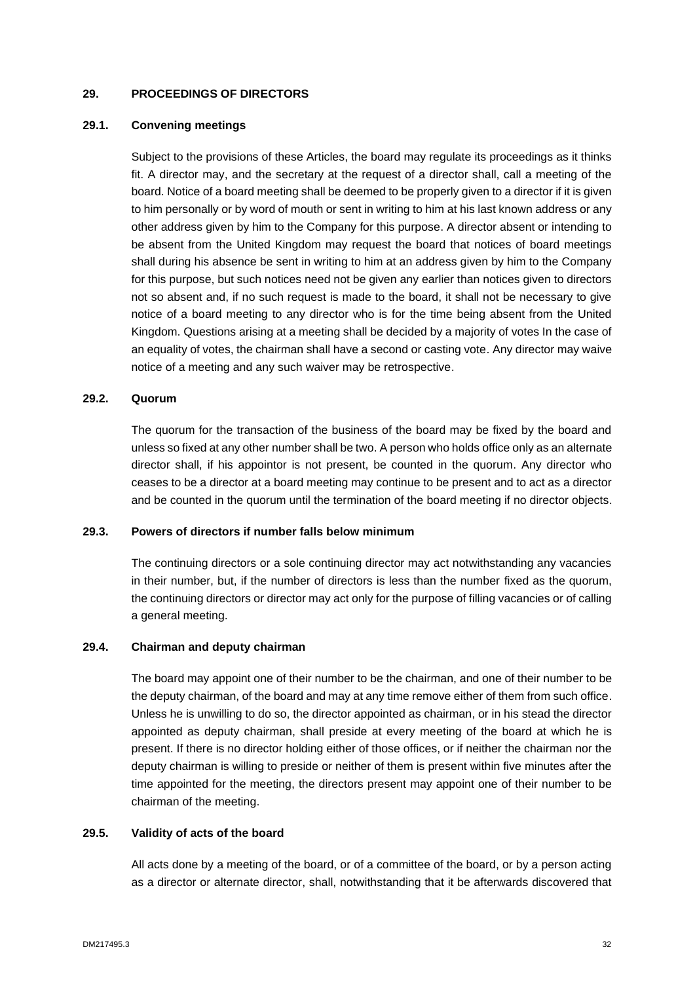# <span id="page-34-0"></span>**29. PROCEEDINGS OF DIRECTORS**

### **29.1. Convening meetings**

Subject to the provisions of these Articles, the board may regulate its proceedings as it thinks fit. A director may, and the secretary at the request of a director shall, call a meeting of the board. Notice of a board meeting shall be deemed to be properly given to a director if it is given to him personally or by word of mouth or sent in writing to him at his last known address or any other address given by him to the Company for this purpose. A director absent or intending to be absent from the United Kingdom may request the board that notices of board meetings shall during his absence be sent in writing to him at an address given by him to the Company for this purpose, but such notices need not be given any earlier than notices given to directors not so absent and, if no such request is made to the board, it shall not be necessary to give notice of a board meeting to any director who is for the time being absent from the United Kingdom. Questions arising at a meeting shall be decided by a majority of votes In the case of an equality of votes, the chairman shall have a second or casting vote. Any director may waive notice of a meeting and any such waiver may be retrospective.

#### **29.2. Quorum**

The quorum for the transaction of the business of the board may be fixed by the board and unless so fixed at any other number shall be two. A person who holds office only as an alternate director shall, if his appointor is not present, be counted in the quorum. Any director who ceases to be a director at a board meeting may continue to be present and to act as a director and be counted in the quorum until the termination of the board meeting if no director objects.

# **29.3. Powers of directors if number falls below minimum**

The continuing directors or a sole continuing director may act notwithstanding any vacancies in their number, but, if the number of directors is less than the number fixed as the quorum, the continuing directors or director may act only for the purpose of filling vacancies or of calling a general meeting.

# **29.4. Chairman and deputy chairman**

The board may appoint one of their number to be the chairman, and one of their number to be the deputy chairman, of the board and may at any time remove either of them from such office. Unless he is unwilling to do so, the director appointed as chairman, or in his stead the director appointed as deputy chairman, shall preside at every meeting of the board at which he is present. If there is no director holding either of those offices, or if neither the chairman nor the deputy chairman is willing to preside or neither of them is present within five minutes after the time appointed for the meeting, the directors present may appoint one of their number to be chairman of the meeting.

#### **29.5. Validity of acts of the board**

All acts done by a meeting of the board, or of a committee of the board, or by a person acting as a director or alternate director, shall, notwithstanding that it be afterwards discovered that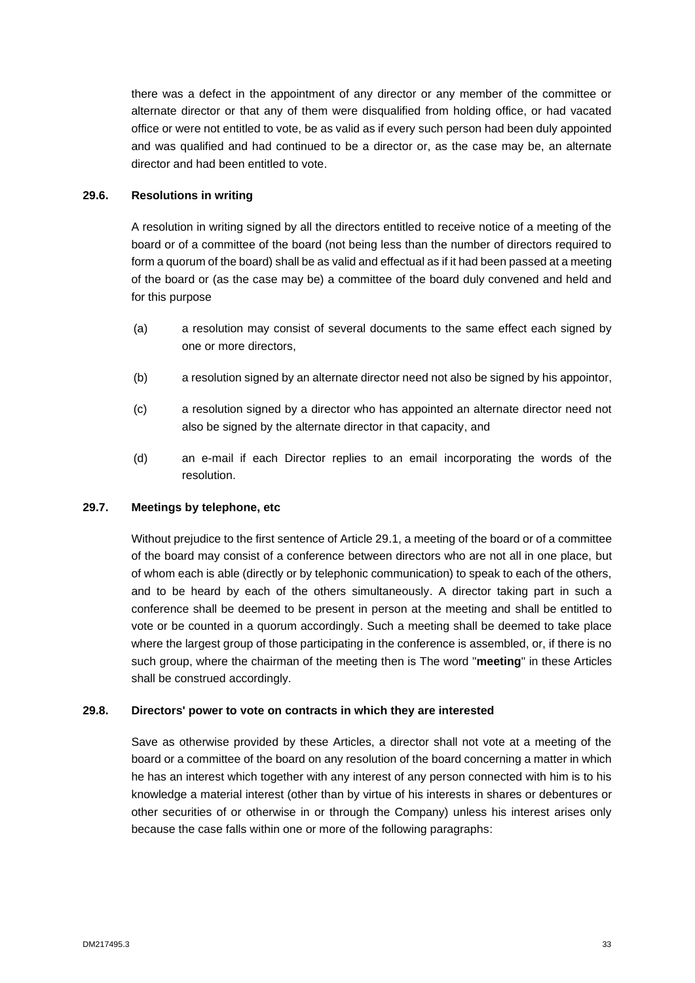there was a defect in the appointment of any director or any member of the committee or alternate director or that any of them were disqualified from holding office, or had vacated office or were not entitled to vote, be as valid as if every such person had been duly appointed and was qualified and had continued to be a director or, as the case may be, an alternate director and had been entitled to vote.

# **29.6. Resolutions in writing**

A resolution in writing signed by all the directors entitled to receive notice of a meeting of the board or of a committee of the board (not being less than the number of directors required to form a quorum of the board) shall be as valid and effectual as if it had been passed at a meeting of the board or (as the case may be) a committee of the board duly convened and held and for this purpose

- (a) a resolution may consist of several documents to the same effect each signed by one or more directors,
- (b) a resolution signed by an alternate director need not also be signed by his appointor,
- (c) a resolution signed by a director who has appointed an alternate director need not also be signed by the alternate director in that capacity, and
- (d) an e-mail if each Director replies to an email incorporating the words of the resolution.

# **29.7. Meetings by telephone, etc**

Without prejudice to the first sentence of Article 29.1, a meeting of the board or of a committee of the board may consist of a conference between directors who are not all in one place, but of whom each is able (directly or by telephonic communication) to speak to each of the others, and to be heard by each of the others simultaneously. A director taking part in such a conference shall be deemed to be present in person at the meeting and shall be entitled to vote or be counted in a quorum accordingly. Such a meeting shall be deemed to take place where the largest group of those participating in the conference is assembled, or, if there is no such group, where the chairman of the meeting then is The word "**meeting**" in these Articles shall be construed accordingly.

# **29.8. Directors' power to vote on contracts in which they are interested**

Save as otherwise provided by these Articles, a director shall not vote at a meeting of the board or a committee of the board on any resolution of the board concerning a matter in which he has an interest which together with any interest of any person connected with him is to his knowledge a material interest (other than by virtue of his interests in shares or debentures or other securities of or otherwise in or through the Company) unless his interest arises only because the case falls within one or more of the following paragraphs: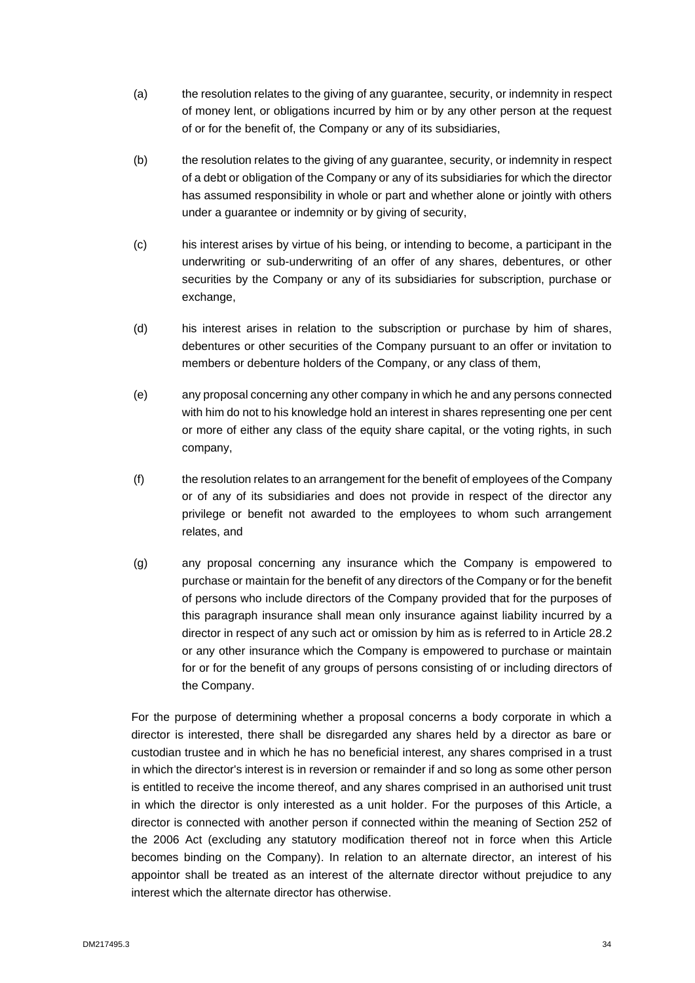- (a) the resolution relates to the giving of any guarantee, security, or indemnity in respect of money lent, or obligations incurred by him or by any other person at the request of or for the benefit of, the Company or any of its subsidiaries,
- (b) the resolution relates to the giving of any guarantee, security, or indemnity in respect of a debt or obligation of the Company or any of its subsidiaries for which the director has assumed responsibility in whole or part and whether alone or jointly with others under a guarantee or indemnity or by giving of security,
- (c) his interest arises by virtue of his being, or intending to become, a participant in the underwriting or sub-underwriting of an offer of any shares, debentures, or other securities by the Company or any of its subsidiaries for subscription, purchase or exchange,
- (d) his interest arises in relation to the subscription or purchase by him of shares, debentures or other securities of the Company pursuant to an offer or invitation to members or debenture holders of the Company, or any class of them,
- (e) any proposal concerning any other company in which he and any persons connected with him do not to his knowledge hold an interest in shares representing one per cent or more of either any class of the equity share capital, or the voting rights, in such company,
- (f) the resolution relates to an arrangement for the benefit of employees of the Company or of any of its subsidiaries and does not provide in respect of the director any privilege or benefit not awarded to the employees to whom such arrangement relates, and
- (g) any proposal concerning any insurance which the Company is empowered to purchase or maintain for the benefit of any directors of the Company or for the benefit of persons who include directors of the Company provided that for the purposes of this paragraph insurance shall mean only insurance against liability incurred by a director in respect of any such act or omission by him as is referred to in Article 28.2 or any other insurance which the Company is empowered to purchase or maintain for or for the benefit of any groups of persons consisting of or including directors of the Company.

For the purpose of determining whether a proposal concerns a body corporate in which a director is interested, there shall be disregarded any shares held by a director as bare or custodian trustee and in which he has no beneficial interest, any shares comprised in a trust in which the director's interest is in reversion or remainder if and so long as some other person is entitled to receive the income thereof, and any shares comprised in an authorised unit trust in which the director is only interested as a unit holder. For the purposes of this Article, a director is connected with another person if connected within the meaning of Section 252 of the 2006 Act (excluding any statutory modification thereof not in force when this Article becomes binding on the Company). In relation to an alternate director, an interest of his appointor shall be treated as an interest of the alternate director without prejudice to any interest which the alternate director has otherwise.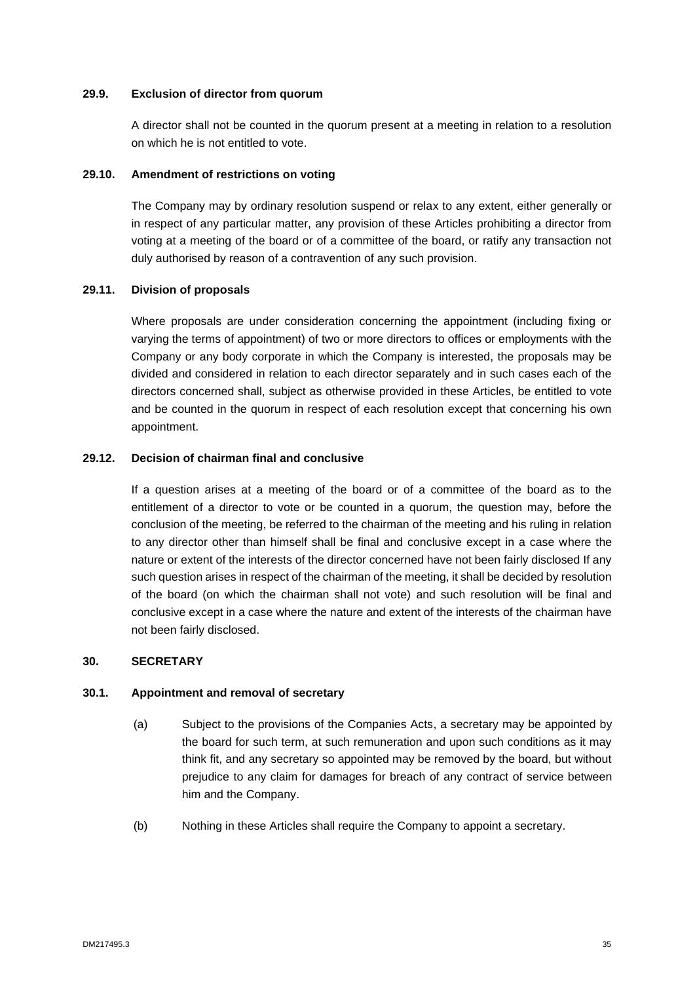### **29.9. Exclusion of director from quorum**

A director shall not be counted in the quorum present at a meeting in relation to a resolution on which he is not entitled to vote.

### **29.10. Amendment of restrictions on voting**

The Company may by ordinary resolution suspend or relax to any extent, either generally or in respect of any particular matter, any provision of these Articles prohibiting a director from voting at a meeting of the board or of a committee of the board, or ratify any transaction not duly authorised by reason of a contravention of any such provision.

# **29.11. Division of proposals**

Where proposals are under consideration concerning the appointment (including fixing or varying the terms of appointment) of two or more directors to offices or employments with the Company or any body corporate in which the Company is interested, the proposals may be divided and considered in relation to each director separately and in such cases each of the directors concerned shall, subject as otherwise provided in these Articles, be entitled to vote and be counted in the quorum in respect of each resolution except that concerning his own appointment.

# **29.12. Decision of chairman final and conclusive**

If a question arises at a meeting of the board or of a committee of the board as to the entitlement of a director to vote or be counted in a quorum, the question may, before the conclusion of the meeting, be referred to the chairman of the meeting and his ruling in relation to any director other than himself shall be final and conclusive except in a case where the nature or extent of the interests of the director concerned have not been fairly disclosed If any such question arises in respect of the chairman of the meeting, it shall be decided by resolution of the board (on which the chairman shall not vote) and such resolution will be final and conclusive except in a case where the nature and extent of the interests of the chairman have not been fairly disclosed.

# <span id="page-37-0"></span>**30. SECRETARY**

#### **30.1. Appointment and removal of secretary**

- (a) Subject to the provisions of the Companies Acts, a secretary may be appointed by the board for such term, at such remuneration and upon such conditions as it may think fit, and any secretary so appointed may be removed by the board, but without prejudice to any claim for damages for breach of any contract of service between him and the Company.
- (b) Nothing in these Articles shall require the Company to appoint a secretary.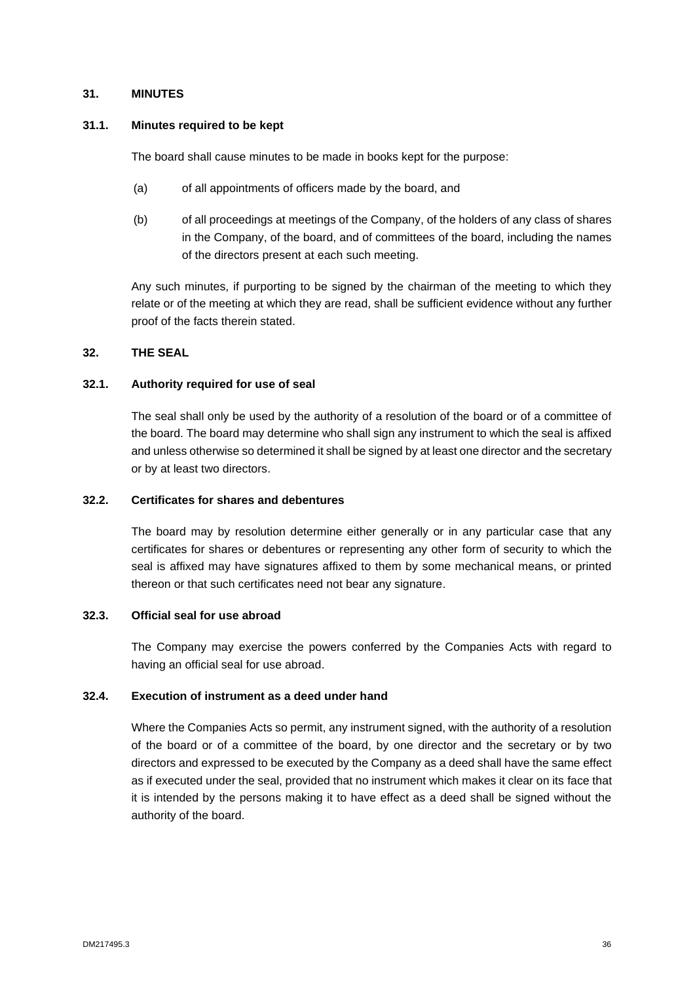### <span id="page-38-0"></span>**31. MINUTES**

#### **31.1. Minutes required to be kept**

The board shall cause minutes to be made in books kept for the purpose:

- (a) of all appointments of officers made by the board, and
- (b) of all proceedings at meetings of the Company, of the holders of any class of shares in the Company, of the board, and of committees of the board, including the names of the directors present at each such meeting.

Any such minutes, if purporting to be signed by the chairman of the meeting to which they relate or of the meeting at which they are read, shall be sufficient evidence without any further proof of the facts therein stated.

# <span id="page-38-1"></span>**32. THE SEAL**

#### **32.1. Authority required for use of seal**

The seal shall only be used by the authority of a resolution of the board or of a committee of the board. The board may determine who shall sign any instrument to which the seal is affixed and unless otherwise so determined it shall be signed by at least one director and the secretary or by at least two directors.

### **32.2. Certificates for shares and debentures**

The board may by resolution determine either generally or in any particular case that any certificates for shares or debentures or representing any other form of security to which the seal is affixed may have signatures affixed to them by some mechanical means, or printed thereon or that such certificates need not bear any signature.

#### **32.3. Official seal for use abroad**

The Company may exercise the powers conferred by the Companies Acts with regard to having an official seal for use abroad.

#### **32.4. Execution of instrument as a deed under hand**

Where the Companies Acts so permit, any instrument signed, with the authority of a resolution of the board or of a committee of the board, by one director and the secretary or by two directors and expressed to be executed by the Company as a deed shall have the same effect as if executed under the seal, provided that no instrument which makes it clear on its face that it is intended by the persons making it to have effect as a deed shall be signed without the authority of the board.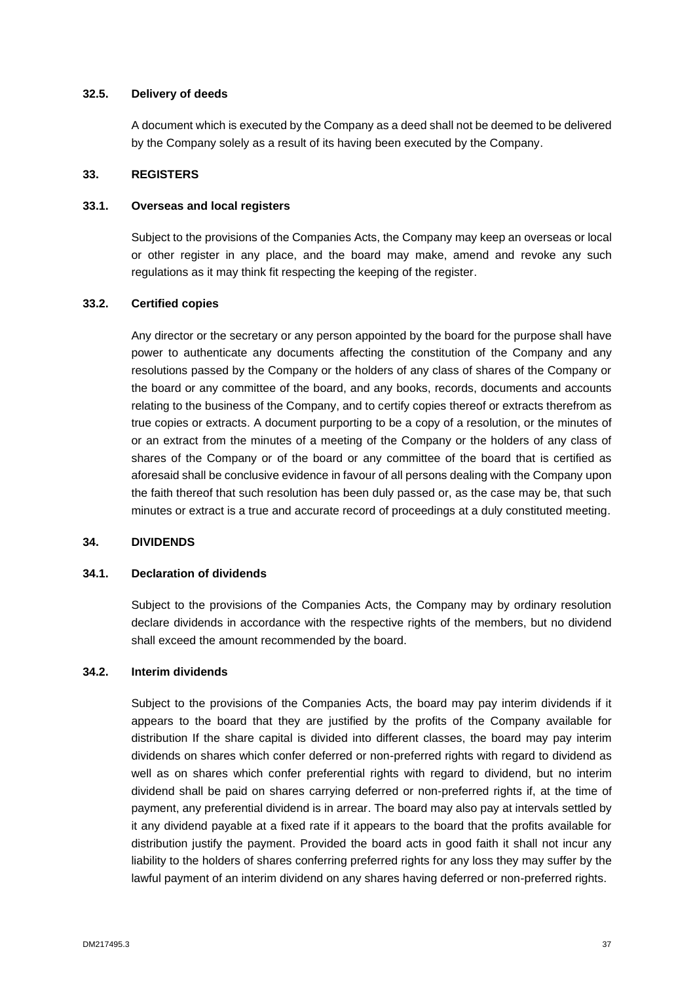#### **32.5. Delivery of deeds**

A document which is executed by the Company as a deed shall not be deemed to be delivered by the Company solely as a result of its having been executed by the Company.

#### <span id="page-39-0"></span>**33. REGISTERS**

#### **33.1. Overseas and local registers**

Subject to the provisions of the Companies Acts, the Company may keep an overseas or local or other register in any place, and the board may make, amend and revoke any such regulations as it may think fit respecting the keeping of the register.

### **33.2. Certified copies**

Any director or the secretary or any person appointed by the board for the purpose shall have power to authenticate any documents affecting the constitution of the Company and any resolutions passed by the Company or the holders of any class of shares of the Company or the board or any committee of the board, and any books, records, documents and accounts relating to the business of the Company, and to certify copies thereof or extracts therefrom as true copies or extracts. A document purporting to be a copy of a resolution, or the minutes of or an extract from the minutes of a meeting of the Company or the holders of any class of shares of the Company or of the board or any committee of the board that is certified as aforesaid shall be conclusive evidence in favour of all persons dealing with the Company upon the faith thereof that such resolution has been duly passed or, as the case may be, that such minutes or extract is a true and accurate record of proceedings at a duly constituted meeting.

#### <span id="page-39-1"></span>**34. DIVIDENDS**

#### **34.1. Declaration of dividends**

Subject to the provisions of the Companies Acts, the Company may by ordinary resolution declare dividends in accordance with the respective rights of the members, but no dividend shall exceed the amount recommended by the board.

#### **34.2. Interim dividends**

Subject to the provisions of the Companies Acts, the board may pay interim dividends if it appears to the board that they are justified by the profits of the Company available for distribution If the share capital is divided into different classes, the board may pay interim dividends on shares which confer deferred or non-preferred rights with regard to dividend as well as on shares which confer preferential rights with regard to dividend, but no interim dividend shall be paid on shares carrying deferred or non-preferred rights if, at the time of payment, any preferential dividend is in arrear. The board may also pay at intervals settled by it any dividend payable at a fixed rate if it appears to the board that the profits available for distribution justify the payment. Provided the board acts in good faith it shall not incur any liability to the holders of shares conferring preferred rights for any loss they may suffer by the lawful payment of an interim dividend on any shares having deferred or non-preferred rights.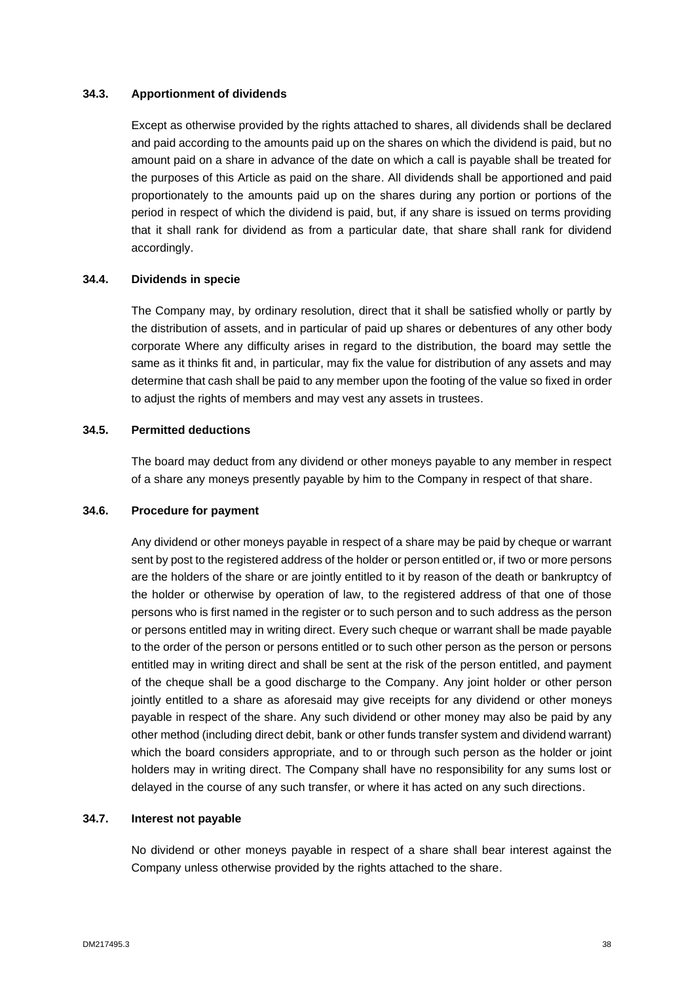### **34.3. Apportionment of dividends**

Except as otherwise provided by the rights attached to shares, all dividends shall be declared and paid according to the amounts paid up on the shares on which the dividend is paid, but no amount paid on a share in advance of the date on which a call is payable shall be treated for the purposes of this Article as paid on the share. All dividends shall be apportioned and paid proportionately to the amounts paid up on the shares during any portion or portions of the period in respect of which the dividend is paid, but, if any share is issued on terms providing that it shall rank for dividend as from a particular date, that share shall rank for dividend accordingly.

#### **34.4. Dividends in specie**

The Company may, by ordinary resolution, direct that it shall be satisfied wholly or partly by the distribution of assets, and in particular of paid up shares or debentures of any other body corporate Where any difficulty arises in regard to the distribution, the board may settle the same as it thinks fit and, in particular, may fix the value for distribution of any assets and may determine that cash shall be paid to any member upon the footing of the value so fixed in order to adjust the rights of members and may vest any assets in trustees.

#### **34.5. Permitted deductions**

The board may deduct from any dividend or other moneys payable to any member in respect of a share any moneys presently payable by him to the Company in respect of that share.

# **34.6. Procedure for payment**

Any dividend or other moneys payable in respect of a share may be paid by cheque or warrant sent by post to the registered address of the holder or person entitled or, if two or more persons are the holders of the share or are jointly entitled to it by reason of the death or bankruptcy of the holder or otherwise by operation of law, to the registered address of that one of those persons who is first named in the register or to such person and to such address as the person or persons entitled may in writing direct. Every such cheque or warrant shall be made payable to the order of the person or persons entitled or to such other person as the person or persons entitled may in writing direct and shall be sent at the risk of the person entitled, and payment of the cheque shall be a good discharge to the Company. Any joint holder or other person jointly entitled to a share as aforesaid may give receipts for any dividend or other moneys payable in respect of the share. Any such dividend or other money may also be paid by any other method (including direct debit, bank or other funds transfer system and dividend warrant) which the board considers appropriate, and to or through such person as the holder or joint holders may in writing direct. The Company shall have no responsibility for any sums lost or delayed in the course of any such transfer, or where it has acted on any such directions.

#### **34.7. Interest not payable**

No dividend or other moneys payable in respect of a share shall bear interest against the Company unless otherwise provided by the rights attached to the share.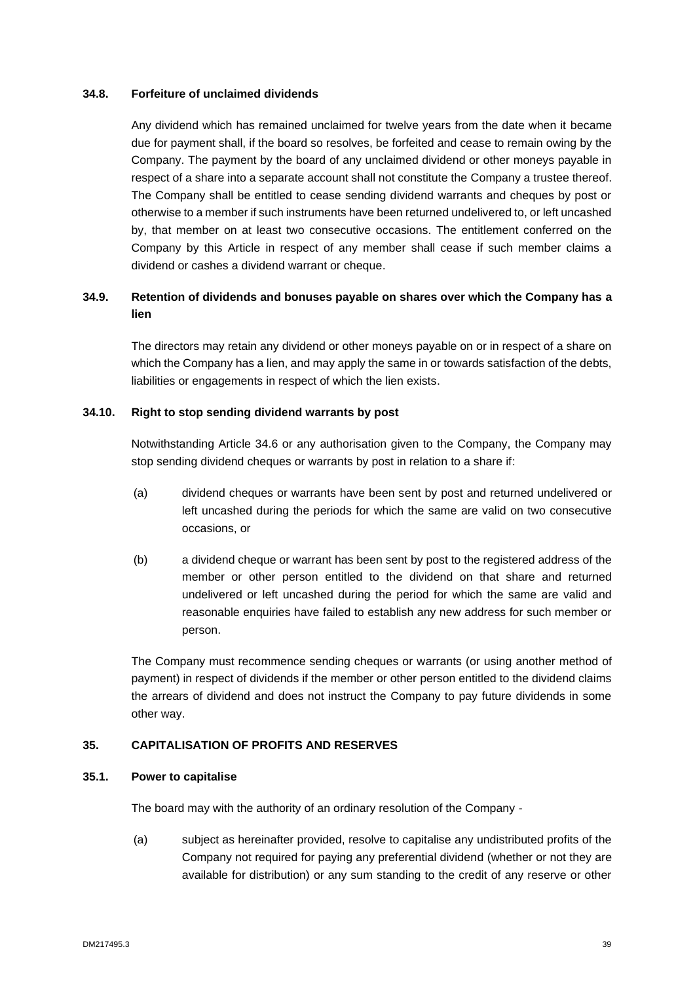# **34.8. Forfeiture of unclaimed dividends**

Any dividend which has remained unclaimed for twelve years from the date when it became due for payment shall, if the board so resolves, be forfeited and cease to remain owing by the Company. The payment by the board of any unclaimed dividend or other moneys payable in respect of a share into a separate account shall not constitute the Company a trustee thereof. The Company shall be entitled to cease sending dividend warrants and cheques by post or otherwise to a member if such instruments have been returned undelivered to, or left uncashed by, that member on at least two consecutive occasions. The entitlement conferred on the Company by this Article in respect of any member shall cease if such member claims a dividend or cashes a dividend warrant or cheque.

# **34.9. Retention of dividends and bonuses payable on shares over which the Company has a lien**

The directors may retain any dividend or other moneys payable on or in respect of a share on which the Company has a lien, and may apply the same in or towards satisfaction of the debts, liabilities or engagements in respect of which the lien exists.

#### **34.10. Right to stop sending dividend warrants by post**

Notwithstanding Article 34.6 or any authorisation given to the Company, the Company may stop sending dividend cheques or warrants by post in relation to a share if:

- (a) dividend cheques or warrants have been sent by post and returned undelivered or left uncashed during the periods for which the same are valid on two consecutive occasions, or
- (b) a dividend cheque or warrant has been sent by post to the registered address of the member or other person entitled to the dividend on that share and returned undelivered or left uncashed during the period for which the same are valid and reasonable enquiries have failed to establish any new address for such member or person.

The Company must recommence sending cheques or warrants (or using another method of payment) in respect of dividends if the member or other person entitled to the dividend claims the arrears of dividend and does not instruct the Company to pay future dividends in some other way.

#### <span id="page-41-0"></span>**35. CAPITALISATION OF PROFITS AND RESERVES**

#### **35.1. Power to capitalise**

The board may with the authority of an ordinary resolution of the Company -

(a) subject as hereinafter provided, resolve to capitalise any undistributed profits of the Company not required for paying any preferential dividend (whether or not they are available for distribution) or any sum standing to the credit of any reserve or other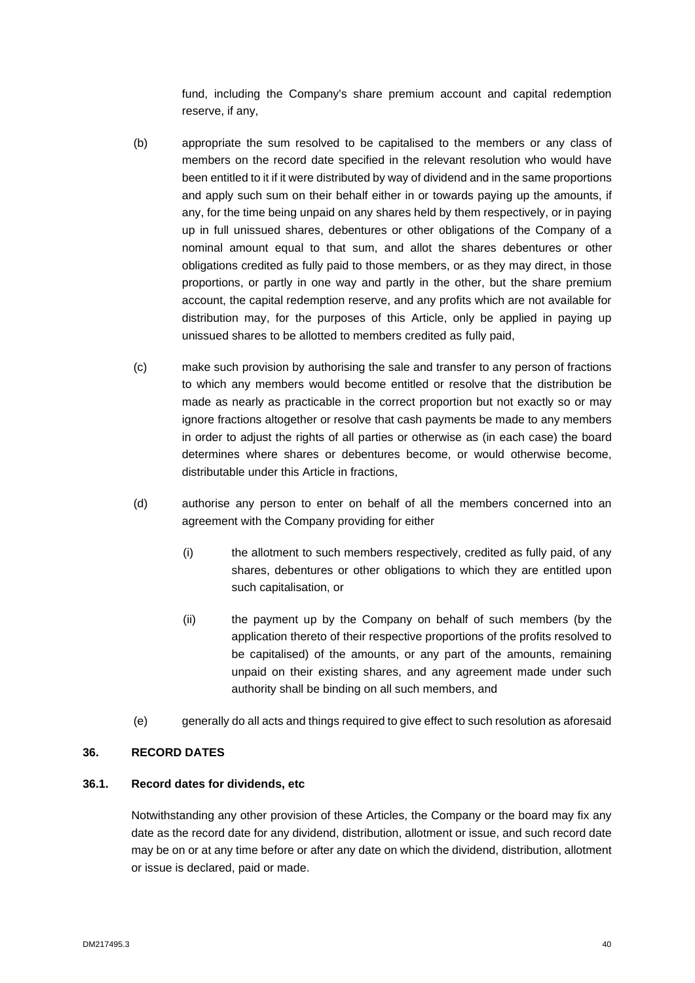fund, including the Company's share premium account and capital redemption reserve, if any,

- (b) appropriate the sum resolved to be capitalised to the members or any class of members on the record date specified in the relevant resolution who would have been entitled to it if it were distributed by way of dividend and in the same proportions and apply such sum on their behalf either in or towards paying up the amounts, if any, for the time being unpaid on any shares held by them respectively, or in paying up in full unissued shares, debentures or other obligations of the Company of a nominal amount equal to that sum, and allot the shares debentures or other obligations credited as fully paid to those members, or as they may direct, in those proportions, or partly in one way and partly in the other, but the share premium account, the capital redemption reserve, and any profits which are not available for distribution may, for the purposes of this Article, only be applied in paying up unissued shares to be allotted to members credited as fully paid,
- (c) make such provision by authorising the sale and transfer to any person of fractions to which any members would become entitled or resolve that the distribution be made as nearly as practicable in the correct proportion but not exactly so or may ignore fractions altogether or resolve that cash payments be made to any members in order to adjust the rights of all parties or otherwise as (in each case) the board determines where shares or debentures become, or would otherwise become, distributable under this Article in fractions,
- (d) authorise any person to enter on behalf of all the members concerned into an agreement with the Company providing for either
	- (i) the allotment to such members respectively, credited as fully paid, of any shares, debentures or other obligations to which they are entitled upon such capitalisation, or
	- (ii) the payment up by the Company on behalf of such members (by the application thereto of their respective proportions of the profits resolved to be capitalised) of the amounts, or any part of the amounts, remaining unpaid on their existing shares, and any agreement made under such authority shall be binding on all such members, and
- (e) generally do all acts and things required to give effect to such resolution as aforesaid

# <span id="page-42-0"></span>**36. RECORD DATES**

#### **36.1. Record dates for dividends, etc**

Notwithstanding any other provision of these Articles, the Company or the board may fix any date as the record date for any dividend, distribution, allotment or issue, and such record date may be on or at any time before or after any date on which the dividend, distribution, allotment or issue is declared, paid or made.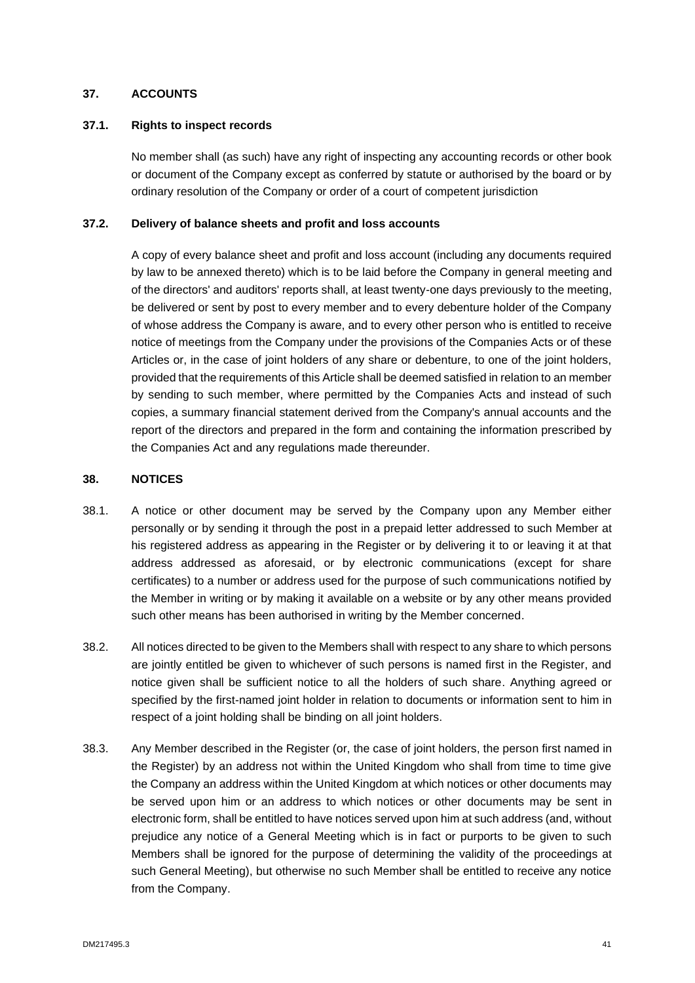# <span id="page-43-0"></span>**37. ACCOUNTS**

# **37.1. Rights to inspect records**

No member shall (as such) have any right of inspecting any accounting records or other book or document of the Company except as conferred by statute or authorised by the board or by ordinary resolution of the Company or order of a court of competent jurisdiction

# **37.2. Delivery of balance sheets and profit and loss accounts**

A copy of every balance sheet and profit and loss account (including any documents required by law to be annexed thereto) which is to be laid before the Company in general meeting and of the directors' and auditors' reports shall, at least twenty-one days previously to the meeting, be delivered or sent by post to every member and to every debenture holder of the Company of whose address the Company is aware, and to every other person who is entitled to receive notice of meetings from the Company under the provisions of the Companies Acts or of these Articles or, in the case of joint holders of any share or debenture, to one of the joint holders, provided that the requirements of this Article shall be deemed satisfied in relation to an member by sending to such member, where permitted by the Companies Acts and instead of such copies, a summary financial statement derived from the Company's annual accounts and the report of the directors and prepared in the form and containing the information prescribed by the Companies Act and any regulations made thereunder.

# <span id="page-43-1"></span>**38. NOTICES**

- 38.1. A notice or other document may be served by the Company upon any Member either personally or by sending it through the post in a prepaid letter addressed to such Member at his registered address as appearing in the Register or by delivering it to or leaving it at that address addressed as aforesaid, or by electronic communications (except for share certificates) to a number or address used for the purpose of such communications notified by the Member in writing or by making it available on a website or by any other means provided such other means has been authorised in writing by the Member concerned.
- 38.2. All notices directed to be given to the Members shall with respect to any share to which persons are jointly entitled be given to whichever of such persons is named first in the Register, and notice given shall be sufficient notice to all the holders of such share. Anything agreed or specified by the first-named joint holder in relation to documents or information sent to him in respect of a joint holding shall be binding on all joint holders.
- 38.3. Any Member described in the Register (or, the case of joint holders, the person first named in the Register) by an address not within the United Kingdom who shall from time to time give the Company an address within the United Kingdom at which notices or other documents may be served upon him or an address to which notices or other documents may be sent in electronic form, shall be entitled to have notices served upon him at such address (and, without prejudice any notice of a General Meeting which is in fact or purports to be given to such Members shall be ignored for the purpose of determining the validity of the proceedings at such General Meeting), but otherwise no such Member shall be entitled to receive any notice from the Company.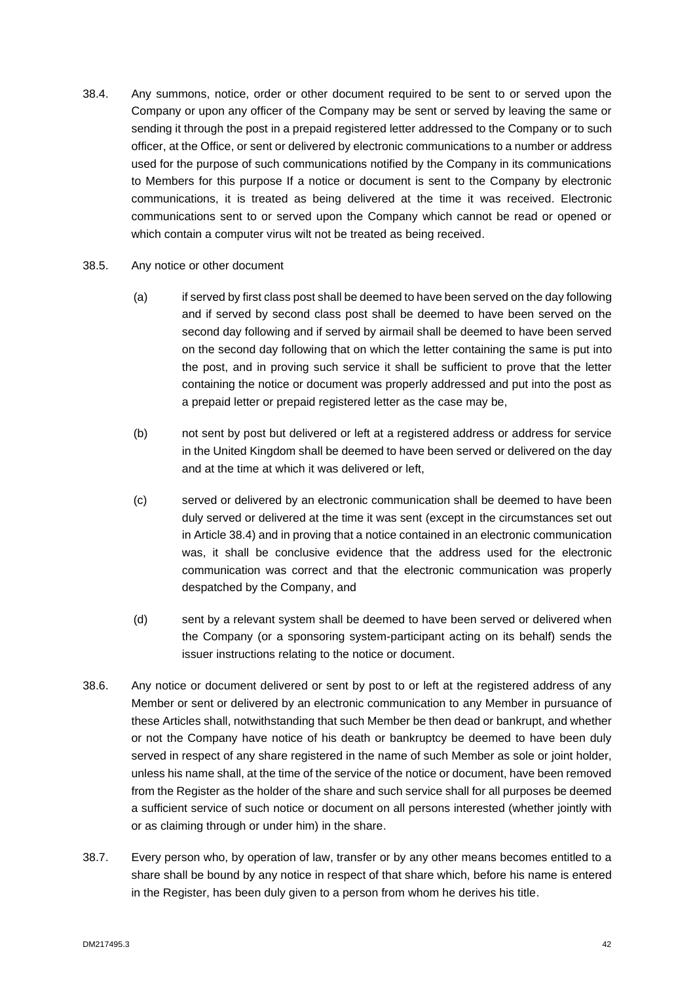- 38.4. Any summons, notice, order or other document required to be sent to or served upon the Company or upon any officer of the Company may be sent or served by leaving the same or sending it through the post in a prepaid registered letter addressed to the Company or to such officer, at the Office, or sent or delivered by electronic communications to a number or address used for the purpose of such communications notified by the Company in its communications to Members for this purpose If a notice or document is sent to the Company by electronic communications, it is treated as being delivered at the time it was received. Electronic communications sent to or served upon the Company which cannot be read or opened or which contain a computer virus wilt not be treated as being received.
- 38.5. Any notice or other document
	- (a) if served by first class post shall be deemed to have been served on the day following and if served by second class post shall be deemed to have been served on the second day following and if served by airmail shall be deemed to have been served on the second day following that on which the letter containing the same is put into the post, and in proving such service it shall be sufficient to prove that the letter containing the notice or document was properly addressed and put into the post as a prepaid letter or prepaid registered letter as the case may be,
	- (b) not sent by post but delivered or left at a registered address or address for service in the United Kingdom shall be deemed to have been served or delivered on the day and at the time at which it was delivered or left,
	- (c) served or delivered by an electronic communication shall be deemed to have been duly served or delivered at the time it was sent (except in the circumstances set out in Article 38.4) and in proving that a notice contained in an electronic communication was, it shall be conclusive evidence that the address used for the electronic communication was correct and that the electronic communication was properly despatched by the Company, and
	- (d) sent by a relevant system shall be deemed to have been served or delivered when the Company (or a sponsoring system-participant acting on its behalf) sends the issuer instructions relating to the notice or document.
- 38.6. Any notice or document delivered or sent by post to or left at the registered address of any Member or sent or delivered by an electronic communication to any Member in pursuance of these Articles shall, notwithstanding that such Member be then dead or bankrupt, and whether or not the Company have notice of his death or bankruptcy be deemed to have been duly served in respect of any share registered in the name of such Member as sole or joint holder, unless his name shall, at the time of the service of the notice or document, have been removed from the Register as the holder of the share and such service shall for all purposes be deemed a sufficient service of such notice or document on all persons interested (whether jointly with or as claiming through or under him) in the share.
- 38.7. Every person who, by operation of law, transfer or by any other means becomes entitled to a share shall be bound by any notice in respect of that share which, before his name is entered in the Register, has been duly given to a person from whom he derives his title.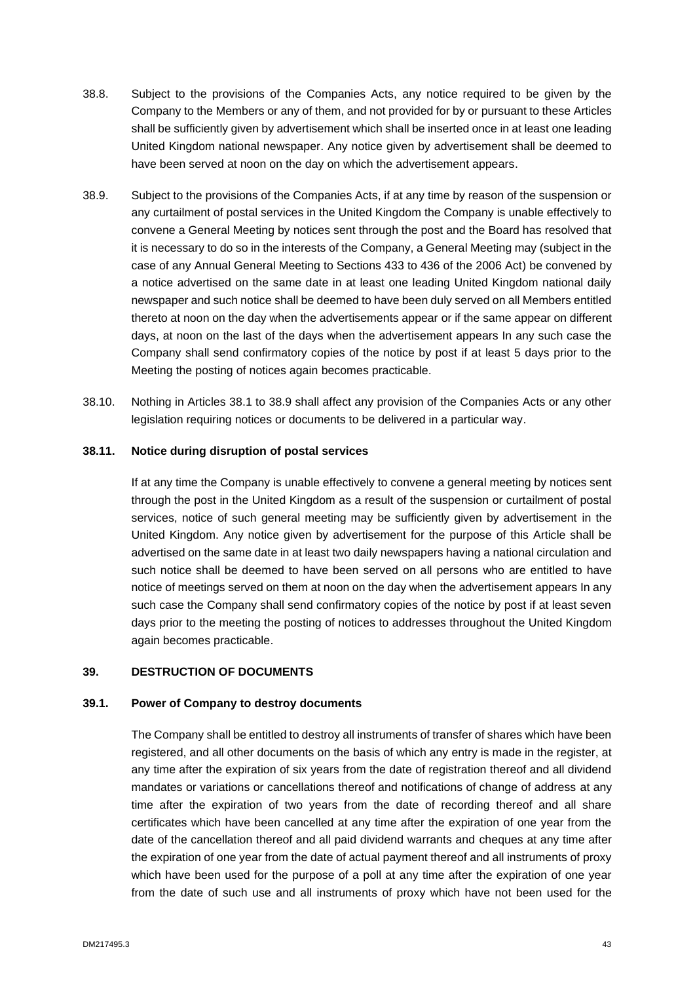- 38.8. Subject to the provisions of the Companies Acts, any notice required to be given by the Company to the Members or any of them, and not provided for by or pursuant to these Articles shall be sufficiently given by advertisement which shall be inserted once in at least one leading United Kingdom national newspaper. Any notice given by advertisement shall be deemed to have been served at noon on the day on which the advertisement appears.
- 38.9. Subject to the provisions of the Companies Acts, if at any time by reason of the suspension or any curtailment of postal services in the United Kingdom the Company is unable effectively to convene a General Meeting by notices sent through the post and the Board has resolved that it is necessary to do so in the interests of the Company, a General Meeting may (subject in the case of any Annual General Meeting to Sections 433 to 436 of the 2006 Act) be convened by a notice advertised on the same date in at least one leading United Kingdom national daily newspaper and such notice shall be deemed to have been duly served on all Members entitled thereto at noon on the day when the advertisements appear or if the same appear on different days, at noon on the last of the days when the advertisement appears In any such case the Company shall send confirmatory copies of the notice by post if at least 5 days prior to the Meeting the posting of notices again becomes practicable.
- 38.10. Nothing in Articles 38.1 to 38.9 shall affect any provision of the Companies Acts or any other legislation requiring notices or documents to be delivered in a particular way.

#### **38.11. Notice during disruption of postal services**

If at any time the Company is unable effectively to convene a general meeting by notices sent through the post in the United Kingdom as a result of the suspension or curtailment of postal services, notice of such general meeting may be sufficiently given by advertisement in the United Kingdom. Any notice given by advertisement for the purpose of this Article shall be advertised on the same date in at least two daily newspapers having a national circulation and such notice shall be deemed to have been served on all persons who are entitled to have notice of meetings served on them at noon on the day when the advertisement appears In any such case the Company shall send confirmatory copies of the notice by post if at least seven days prior to the meeting the posting of notices to addresses throughout the United Kingdom again becomes practicable.

# <span id="page-45-0"></span>**39. DESTRUCTION OF DOCUMENTS**

### **39.1. Power of Company to destroy documents**

The Company shall be entitled to destroy all instruments of transfer of shares which have been registered, and all other documents on the basis of which any entry is made in the register, at any time after the expiration of six years from the date of registration thereof and all dividend mandates or variations or cancellations thereof and notifications of change of address at any time after the expiration of two years from the date of recording thereof and all share certificates which have been cancelled at any time after the expiration of one year from the date of the cancellation thereof and all paid dividend warrants and cheques at any time after the expiration of one year from the date of actual payment thereof and all instruments of proxy which have been used for the purpose of a poll at any time after the expiration of one year from the date of such use and all instruments of proxy which have not been used for the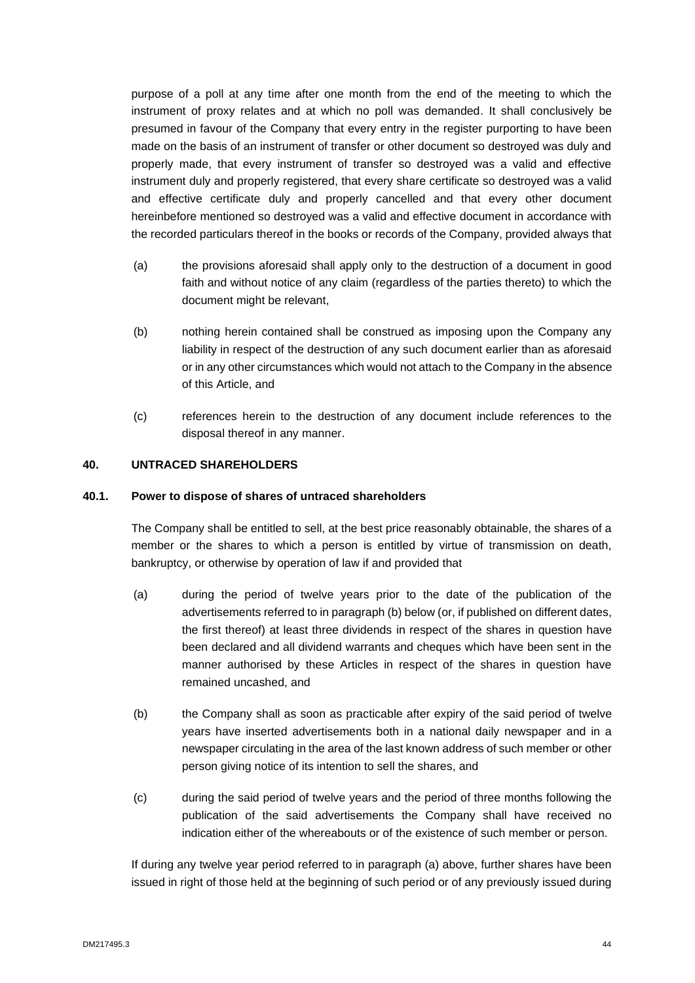purpose of a poll at any time after one month from the end of the meeting to which the instrument of proxy relates and at which no poll was demanded. It shall conclusively be presumed in favour of the Company that every entry in the register purporting to have been made on the basis of an instrument of transfer or other document so destroyed was duly and properly made, that every instrument of transfer so destroyed was a valid and effective instrument duly and properly registered, that every share certificate so destroyed was a valid and effective certificate duly and properly cancelled and that every other document hereinbefore mentioned so destroyed was a valid and effective document in accordance with the recorded particulars thereof in the books or records of the Company, provided always that

- (a) the provisions aforesaid shall apply only to the destruction of a document in good faith and without notice of any claim (regardless of the parties thereto) to which the document might be relevant,
- (b) nothing herein contained shall be construed as imposing upon the Company any liability in respect of the destruction of any such document earlier than as aforesaid or in any other circumstances which would not attach to the Company in the absence of this Article, and
- (c) references herein to the destruction of any document include references to the disposal thereof in any manner.

# <span id="page-46-0"></span>**40. UNTRACED SHAREHOLDERS**

# **40.1. Power to dispose of shares of untraced shareholders**

The Company shall be entitled to sell, at the best price reasonably obtainable, the shares of a member or the shares to which a person is entitled by virtue of transmission on death, bankruptcy, or otherwise by operation of law if and provided that

- (a) during the period of twelve years prior to the date of the publication of the advertisements referred to in paragraph (b) below (or, if published on different dates, the first thereof) at least three dividends in respect of the shares in question have been declared and all dividend warrants and cheques which have been sent in the manner authorised by these Articles in respect of the shares in question have remained uncashed, and
- (b) the Company shall as soon as practicable after expiry of the said period of twelve years have inserted advertisements both in a national daily newspaper and in a newspaper circulating in the area of the last known address of such member or other person giving notice of its intention to sell the shares, and
- (c) during the said period of twelve years and the period of three months following the publication of the said advertisements the Company shall have received no indication either of the whereabouts or of the existence of such member or person.

If during any twelve year period referred to in paragraph (a) above, further shares have been issued in right of those held at the beginning of such period or of any previously issued during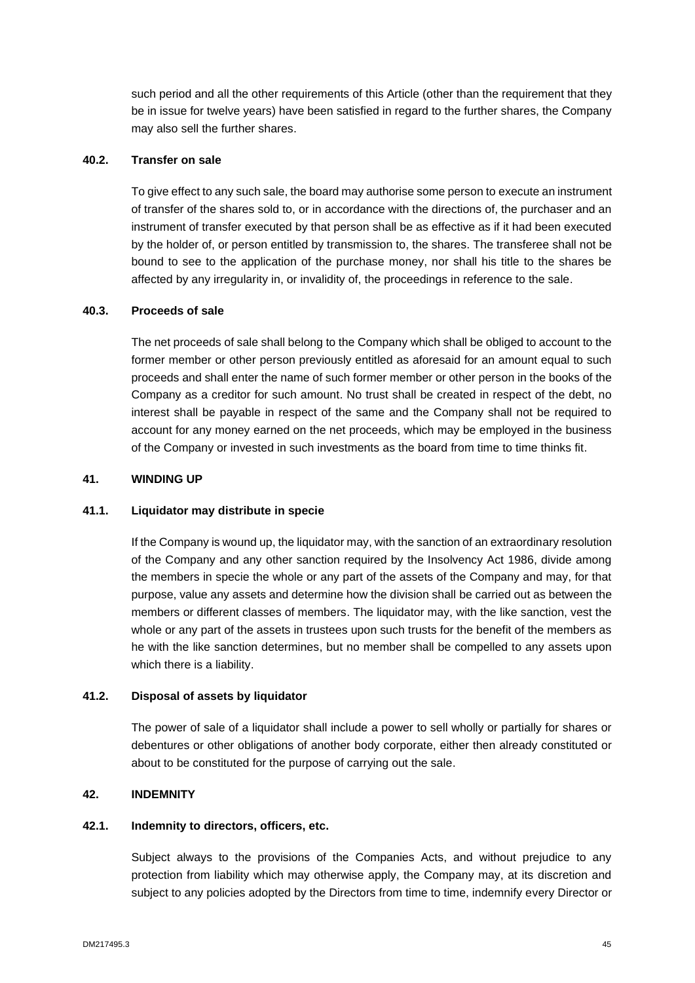such period and all the other requirements of this Article (other than the requirement that they be in issue for twelve years) have been satisfied in regard to the further shares, the Company may also sell the further shares.

# **40.2. Transfer on sale**

To give effect to any such sale, the board may authorise some person to execute an instrument of transfer of the shares sold to, or in accordance with the directions of, the purchaser and an instrument of transfer executed by that person shall be as effective as if it had been executed by the holder of, or person entitled by transmission to, the shares. The transferee shall not be bound to see to the application of the purchase money, nor shall his title to the shares be affected by any irregularity in, or invalidity of, the proceedings in reference to the sale.

#### **40.3. Proceeds of sale**

The net proceeds of sale shall belong to the Company which shall be obliged to account to the former member or other person previously entitled as aforesaid for an amount equal to such proceeds and shall enter the name of such former member or other person in the books of the Company as a creditor for such amount. No trust shall be created in respect of the debt, no interest shall be payable in respect of the same and the Company shall not be required to account for any money earned on the net proceeds, which may be employed in the business of the Company or invested in such investments as the board from time to time thinks fit.

# <span id="page-47-0"></span>**41. WINDING UP**

#### **41.1. Liquidator may distribute in specie**

If the Company is wound up, the liquidator may, with the sanction of an extraordinary resolution of the Company and any other sanction required by the Insolvency Act 1986, divide among the members in specie the whole or any part of the assets of the Company and may, for that purpose, value any assets and determine how the division shall be carried out as between the members or different classes of members. The liquidator may, with the like sanction, vest the whole or any part of the assets in trustees upon such trusts for the benefit of the members as he with the like sanction determines, but no member shall be compelled to any assets upon which there is a liability.

#### **41.2. Disposal of assets by liquidator**

The power of sale of a liquidator shall include a power to sell wholly or partially for shares or debentures or other obligations of another body corporate, either then already constituted or about to be constituted for the purpose of carrying out the sale.

# <span id="page-47-1"></span>**42. INDEMNITY**

#### **42.1. Indemnity to directors, officers, etc.**

Subject always to the provisions of the Companies Acts, and without prejudice to any protection from liability which may otherwise apply, the Company may, at its discretion and subject to any policies adopted by the Directors from time to time, indemnify every Director or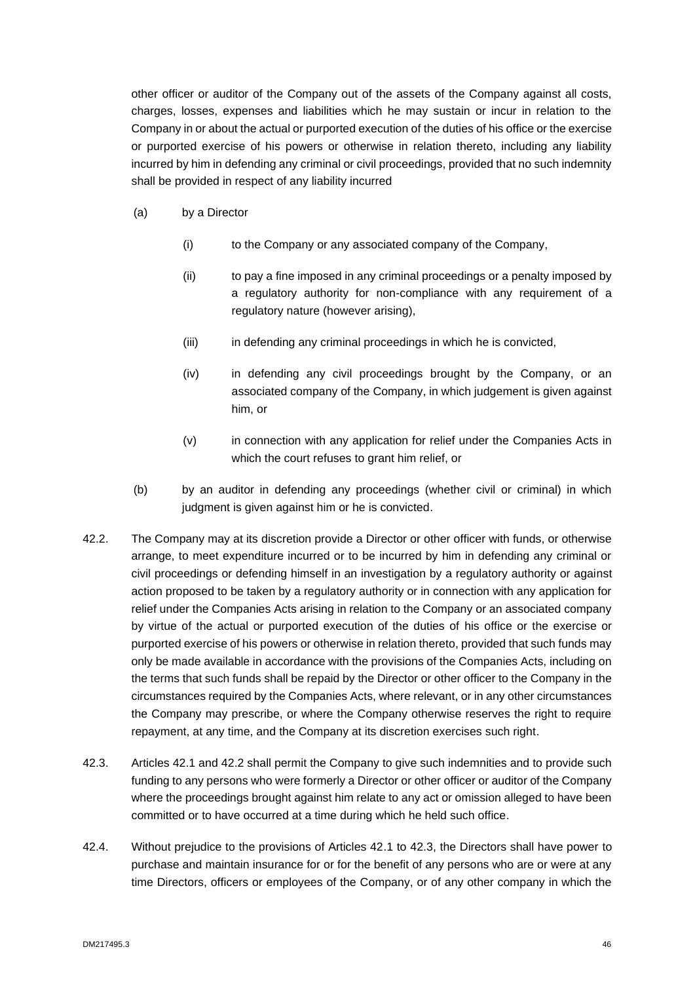other officer or auditor of the Company out of the assets of the Company against all costs, charges, losses, expenses and liabilities which he may sustain or incur in relation to the Company in or about the actual or purported execution of the duties of his office or the exercise or purported exercise of his powers or otherwise in relation thereto, including any liability incurred by him in defending any criminal or civil proceedings, provided that no such indemnity shall be provided in respect of any liability incurred

- (a) by a Director
	- (i) to the Company or any associated company of the Company,
	- (ii) to pay a fine imposed in any criminal proceedings or a penalty imposed by a regulatory authority for non-compliance with any requirement of a regulatory nature (however arising),
	- (iii) in defending any criminal proceedings in which he is convicted,
	- (iv) in defending any civil proceedings brought by the Company, or an associated company of the Company, in which judgement is given against him, or
	- (v) in connection with any application for relief under the Companies Acts in which the court refuses to grant him relief, or
- (b) by an auditor in defending any proceedings (whether civil or criminal) in which judgment is given against him or he is convicted.
- 42.2. The Company may at its discretion provide a Director or other officer with funds, or otherwise arrange, to meet expenditure incurred or to be incurred by him in defending any criminal or civil proceedings or defending himself in an investigation by a regulatory authority or against action proposed to be taken by a regulatory authority or in connection with any application for relief under the Companies Acts arising in relation to the Company or an associated company by virtue of the actual or purported execution of the duties of his office or the exercise or purported exercise of his powers or otherwise in relation thereto, provided that such funds may only be made available in accordance with the provisions of the Companies Acts, including on the terms that such funds shall be repaid by the Director or other officer to the Company in the circumstances required by the Companies Acts, where relevant, or in any other circumstances the Company may prescribe, or where the Company otherwise reserves the right to require repayment, at any time, and the Company at its discretion exercises such right.
- 42.3. Articles 42.1 and 42.2 shall permit the Company to give such indemnities and to provide such funding to any persons who were formerly a Director or other officer or auditor of the Company where the proceedings brought against him relate to any act or omission alleged to have been committed or to have occurred at a time during which he held such office.
- 42.4. Without prejudice to the provisions of Articles 42.1 to 42.3, the Directors shall have power to purchase and maintain insurance for or for the benefit of any persons who are or were at any time Directors, officers or employees of the Company, or of any other company in which the